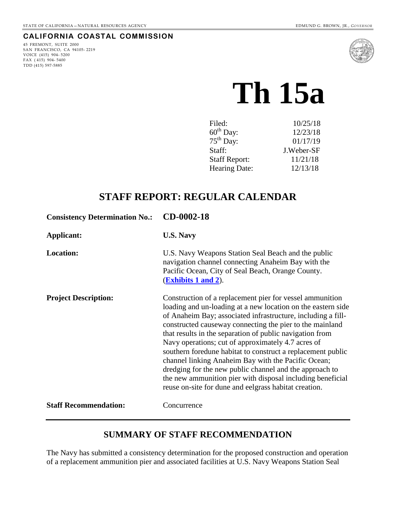# **CALIFORNIA COASTAL COMMISSION**

45 FREMONT, SUITE 2000 SAN FRANCISCO, CA 94105- 2219 VOICE (415) 904- 5200 FAX  $(415)$  904-5400 TDD (415) 597-5885



# **Th 15a**

| Filed:                | 10/25/18   |
|-----------------------|------------|
| $60^{\text{th}}$ Day: | 12/23/18   |
| $75th$ Day:           | 01/17/19   |
| Staff:                | J.Weber-SF |
| <b>Staff Report:</b>  | 11/21/18   |
| <b>Hearing Date:</b>  | 12/13/18   |

# **STAFF REPORT: REGULAR CALENDAR**

| <b>Consistency Determination No.:</b> | CD-0002-18                                                                                                                                                                                                                                                                                                                                                                                                                                                                                                                                                                                                                                                                     |
|---------------------------------------|--------------------------------------------------------------------------------------------------------------------------------------------------------------------------------------------------------------------------------------------------------------------------------------------------------------------------------------------------------------------------------------------------------------------------------------------------------------------------------------------------------------------------------------------------------------------------------------------------------------------------------------------------------------------------------|
| Applicant:                            | <b>U.S. Navy</b>                                                                                                                                                                                                                                                                                                                                                                                                                                                                                                                                                                                                                                                               |
| <b>Location:</b>                      | U.S. Navy Weapons Station Seal Beach and the public<br>navigation channel connecting Anaheim Bay with the<br>Pacific Ocean, City of Seal Beach, Orange County.<br><b>(Exhibits 1 and 2).</b>                                                                                                                                                                                                                                                                                                                                                                                                                                                                                   |
| <b>Project Description:</b>           | Construction of a replacement pier for vessel ammunition<br>loading and un-loading at a new location on the eastern side<br>of Anaheim Bay; associated infrastructure, including a fill-<br>constructed causeway connecting the pier to the mainland<br>that results in the separation of public navigation from<br>Navy operations; cut of approximately 4.7 acres of<br>southern foredune habitat to construct a replacement public<br>channel linking Anaheim Bay with the Pacific Ocean;<br>dredging for the new public channel and the approach to<br>the new ammunition pier with disposal including beneficial<br>reuse on-site for dune and eelgrass habitat creation. |
| <b>Staff Recommendation:</b>          | Concurrence                                                                                                                                                                                                                                                                                                                                                                                                                                                                                                                                                                                                                                                                    |

# **SUMMARY OF STAFF RECOMMENDATION**

The Navy has submitted a consistency determination for the proposed construction and operation of a replacement ammunition pier and associated facilities at U.S. Navy Weapons Station Seal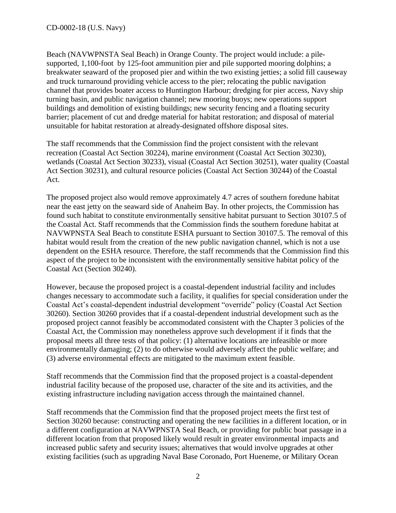Beach (NAVWPNSTA Seal Beach) in Orange County. The project would include: a pilesupported, 1,100-foot by 125-foot ammunition pier and pile supported mooring dolphins; a breakwater seaward of the proposed pier and within the two existing jetties; a solid fill causeway and truck turnaround providing vehicle access to the pier; relocating the public navigation channel that provides boater access to Huntington Harbour; dredging for pier access, Navy ship turning basin, and public navigation channel; new mooring buoys; new operations support buildings and demolition of existing buildings; new security fencing and a floating security barrier; placement of cut and dredge material for habitat restoration; and disposal of material unsuitable for habitat restoration at already-designated offshore disposal sites.

The staff recommends that the Commission find the project consistent with the relevant recreation (Coastal Act Section 30224), marine environment (Coastal Act Section 30230), wetlands (Coastal Act Section 30233), visual (Coastal Act Section 30251), water quality (Coastal Act Section 30231), and cultural resource policies (Coastal Act Section 30244) of the Coastal Act.

The proposed project also would remove approximately 4.7 acres of southern foredune habitat near the east jetty on the seaward side of Anaheim Bay. In other projects, the Commission has found such habitat to constitute environmentally sensitive habitat pursuant to Section 30107.5 of the Coastal Act. Staff recommends that the Commission finds the southern foredune habitat at NAVWPNSTA Seal Beach to constitute ESHA pursuant to Section 30107.5. The removal of this habitat would result from the creation of the new public navigation channel, which is not a use dependent on the ESHA resource. Therefore, the staff recommends that the Commission find this aspect of the project to be inconsistent with the environmentally sensitive habitat policy of the Coastal Act (Section 30240).

However, because the proposed project is a coastal-dependent industrial facility and includes changes necessary to accommodate such a facility, it qualifies for special consideration under the Coastal Act's coastal-dependent industrial development "override" policy (Coastal Act Section 30260). Section 30260 provides that if a coastal-dependent industrial development such as the proposed project cannot feasibly be accommodated consistent with the Chapter 3 policies of the Coastal Act, the Commission may nonetheless approve such development if it finds that the proposal meets all three tests of that policy: (1) alternative locations are infeasible or more environmentally damaging; (2) to do otherwise would adversely affect the public welfare; and (3) adverse environmental effects are mitigated to the maximum extent feasible.

Staff recommends that the Commission find that the proposed project is a coastal-dependent industrial facility because of the proposed use, character of the site and its activities, and the existing infrastructure including navigation access through the maintained channel.

Staff recommends that the Commission find that the proposed project meets the first test of Section 30260 because: constructing and operating the new facilities in a different location, or in a different configuration at NAVWPNSTA Seal Beach, or providing for public boat passage in a different location from that proposed likely would result in greater environmental impacts and increased public safety and security issues; alternatives that would involve upgrades at other existing facilities (such as upgrading Naval Base Coronado, Port Hueneme, or Military Ocean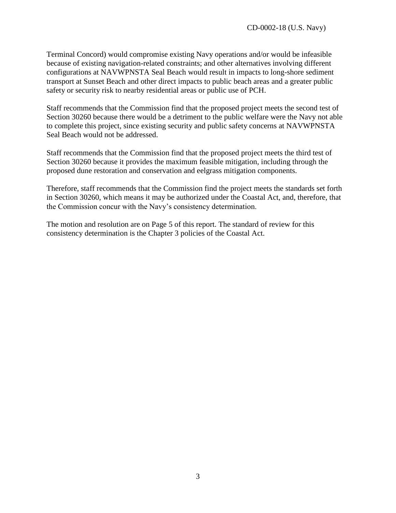Terminal Concord) would compromise existing Navy operations and/or would be infeasible because of existing navigation-related constraints; and other alternatives involving different configurations at NAVWPNSTA Seal Beach would result in impacts to long-shore sediment transport at Sunset Beach and other direct impacts to public beach areas and a greater public safety or security risk to nearby residential areas or public use of PCH.

Staff recommends that the Commission find that the proposed project meets the second test of Section 30260 because there would be a detriment to the public welfare were the Navy not able to complete this project, since existing security and public safety concerns at NAVWPNSTA Seal Beach would not be addressed.

Staff recommends that the Commission find that the proposed project meets the third test of Section 30260 because it provides the maximum feasible mitigation, including through the proposed dune restoration and conservation and eelgrass mitigation components.

Therefore, staff recommends that the Commission find the project meets the standards set forth in Section 30260, which means it may be authorized under the Coastal Act, and, therefore, that the Commission concur with the Navy's consistency determination.

The motion and resolution are on Page 5 of this report. The standard of review for this consistency determination is the Chapter 3 policies of the Coastal Act.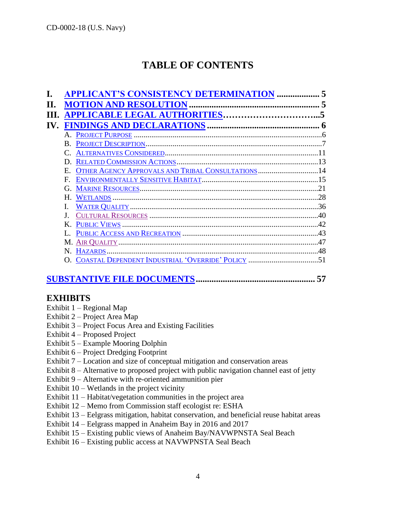# **TABLE OF CONTENTS**

|     | <b>APPLICANT'S CONSISTENCY DETERMINATION </b>                    |     |
|-----|------------------------------------------------------------------|-----|
|     |                                                                  |     |
|     | PPLICABLE LEGAL AUTHORITIES                                      |     |
| IV. |                                                                  |     |
|     |                                                                  |     |
|     | B.                                                               |     |
|     |                                                                  |     |
|     | D                                                                |     |
|     | OTHER AGENCY APPROVALS AND TRIBAL CONSULTATIONS14<br>$E_{\rm c}$ |     |
|     | F.                                                               |     |
|     | G.                                                               | 21  |
|     | Н.                                                               |     |
|     |                                                                  | .36 |
|     |                                                                  | 40  |
|     | $\bf{K}$                                                         | 42  |
|     |                                                                  |     |
|     |                                                                  |     |
|     |                                                                  |     |
|     |                                                                  |     |
|     |                                                                  |     |

# **[SUBSTANTIVE FILE DOCUMENTS.](#page-56-0).................................................... 57**

# **EXHIBITS**

- Exhibit 1 Regional Map
- Exhibit 2 Project Area Map
- Exhibit 3 Project Focus Area and Existing Facilities
- Exhibit 4 Proposed Project
- Exhibit 5 Example Mooring Dolphin
- Exhibit 6 Project Dredging Footprint
- Exhibit 7 Location and size of conceptual mitigation and conservation areas
- Exhibit 8 Alternative to proposed project with public navigation channel east of jetty
- Exhibit 9 Alternative with re-oriented ammunition pier
- Exhibit  $10 W$ etlands in the project vicinity
- Exhibit 11 Habitat/vegetation communities in the project area
- Exhibit 12 Memo from Commission staff ecologist re: ESHA
- Exhibit 13 Eelgrass mitigation, habitat conservation, and beneficial reuse habitat areas
- Exhibit 14 Eelgrass mapped in Anaheim Bay in 2016 and 2017
- Exhibit 15 Existing public views of Anaheim Bay/NAVWPNSTA Seal Beach
- Exhibit 16 Existing public access at NAVWPNSTA Seal Beach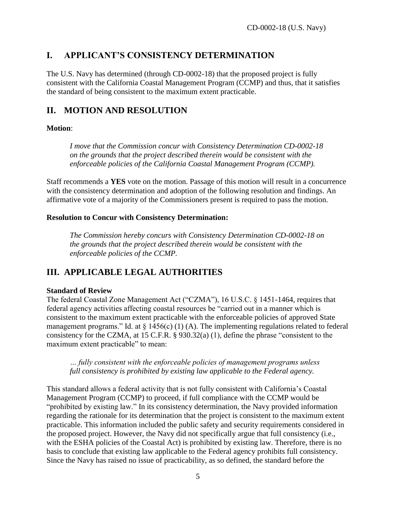# <span id="page-4-0"></span>**I. APPLICANT'S CONSISTENCY DETERMINATION**

The U.S. Navy has determined (through CD-0002-18) that the proposed project is fully consistent with the California Coastal Management Program (CCMP) and thus, that it satisfies the standard of being consistent to the maximum extent practicable.

# <span id="page-4-1"></span>**II. MOTION AND RESOLUTION**

# **Motion**:

*I move that the Commission concur with Consistency Determination CD-0002-18 on the grounds that the project described therein would be consistent with the enforceable policies of the California Coastal Management Program (CCMP).*

Staff recommends a **YES** vote on the motion. Passage of this motion will result in a concurrence with the consistency determination and adoption of the following resolution and findings. An affirmative vote of a majority of the Commissioners present is required to pass the motion.

# **Resolution to Concur with Consistency Determination:**

*The Commission hereby concurs with Consistency Determination CD-0002-18 on the grounds that the project described therein would be consistent with the enforceable policies of the CCMP.* 

# <span id="page-4-2"></span>**III. APPLICABLE LEGAL AUTHORITIES**

# **Standard of Review**

The federal Coastal Zone Management Act ("CZMA"), 16 U.S.C. § 1451-1464, requires that federal agency activities affecting coastal resources be "carried out in a manner which is consistent to the maximum extent practicable with the enforceable policies of approved State management programs." Id. at  $\S$  1456(c) (1) (A). The implementing regulations related to federal consistency for the CZMA, at 15 C.F.R. § 930.32(a) (1), define the phrase "consistent to the maximum extent practicable" to mean:

*… fully consistent with the enforceable policies of management programs unless full consistency is prohibited by existing law applicable to the Federal agency.*

This standard allows a federal activity that is not fully consistent with California's Coastal Management Program (CCMP) to proceed, if full compliance with the CCMP would be "prohibited by existing law." In its consistency determination, the Navy provided information regarding the rationale for its determination that the project is consistent to the maximum extent practicable. This information included the public safety and security requirements considered in the proposed project. However, the Navy did not specifically argue that full consistency (i.e., with the ESHA policies of the Coastal Act) is prohibited by existing law. Therefore, there is no basis to conclude that existing law applicable to the Federal agency prohibits full consistency. Since the Navy has raised no issue of practicability, as so defined, the standard before the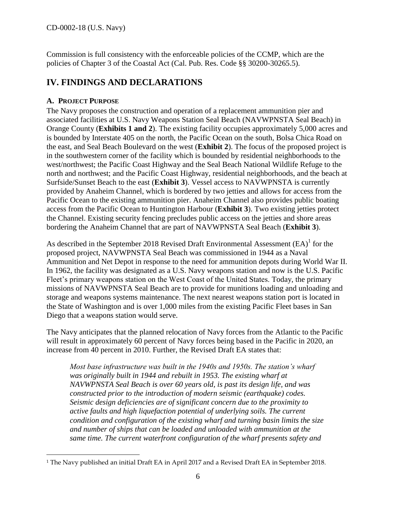<span id="page-5-0"></span>Commission is full consistency with the enforceable policies of the CCMP, which are the policies of Chapter 3 of the Coastal Act (Cal. Pub. Res. Code §§ 30200-30265.5).

# **IV. FINDINGS AND DECLARATIONS**

# <span id="page-5-1"></span>**A. PROJECT PURPOSE**

The Navy proposes the construction and operation of a replacement ammunition pier and associated facilities at U.S. Navy Weapons Station Seal Beach (NAVWPNSTA Seal Beach) in Orange County (**Exhibits 1 and 2**). The existing facility occupies approximately 5,000 acres and is bounded by Interstate 405 on the north, the Pacific Ocean on the south, Bolsa Chica Road on the east, and Seal Beach Boulevard on the west (**Exhibit 2**). The focus of the proposed project is in the southwestern corner of the facility which is bounded by residential neighborhoods to the west/northwest; the Pacific Coast Highway and the Seal Beach National Wildlife Refuge to the north and northwest; and the Pacific Coast Highway, residential neighborhoods, and the beach at Surfside/Sunset Beach to the east (**Exhibit 3**). Vessel access to NAVWPNSTA is currently provided by Anaheim Channel, which is bordered by two jetties and allows for access from the Pacific Ocean to the existing ammunition pier. Anaheim Channel also provides public boating access from the Pacific Ocean to Huntington Harbour (**Exhibit 3**). Two existing jetties protect the Channel. Existing security fencing precludes public access on the jetties and shore areas bordering the Anaheim Channel that are part of NAVWPNSTA Seal Beach (**Exhibit 3**).

As described in the September 2018 Revised Draft Environmental Assessment  $(EA)^{1}$  for the proposed project, NAVWPNSTA Seal Beach was commissioned in 1944 as a Naval Ammunition and Net Depot in response to the need for ammunition depots during World War II. In 1962, the facility was designated as a U.S. Navy weapons station and now is the U.S. Pacific Fleet's primary weapons station on the West Coast of the United States. Today, the primary missions of NAVWPNSTA Seal Beach are to provide for munitions loading and unloading and storage and weapons systems maintenance. The next nearest weapons station port is located in the State of Washington and is over 1,000 miles from the existing Pacific Fleet bases in San Diego that a weapons station would serve.

The Navy anticipates that the planned relocation of Navy forces from the Atlantic to the Pacific will result in approximately 60 percent of Navy forces being based in the Pacific in 2020, an increase from 40 percent in 2010. Further, the Revised Draft EA states that:

*Most base infrastructure was built in the 1940s and 1950s. The station's wharf was originally built in 1944 and rebuilt in 1953. The existing wharf at NAVWPNSTA Seal Beach is over 60 years old, is past its design life, and was constructed prior to the introduction of modern seismic (earthquake) codes. Seismic design deficiencies are of significant concern due to the proximity to active faults and high liquefaction potential of underlying soils. The current condition and configuration of the existing wharf and turning basin limits the size and number of ships that can be loaded and unloaded with ammunition at the same time. The current waterfront configuration of the wharf presents safety and* 

 $\overline{a}$ <sup>1</sup> The Navy published an initial Draft EA in April 2017 and a Revised Draft EA in September 2018.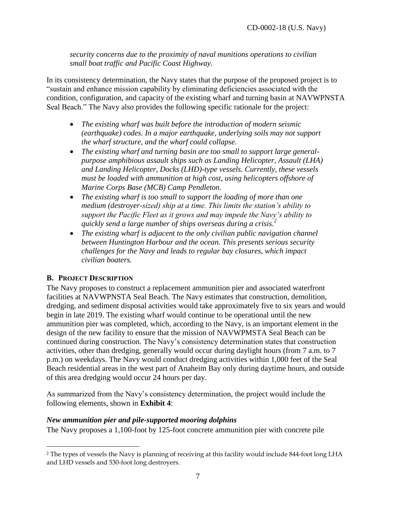*security concerns due to the proximity of naval munitions operations to civilian small boat traffic and Pacific Coast Highway.*

In its consistency determination, the Navy states that the purpose of the proposed project is to "sustain and enhance mission capability by eliminating deficiencies associated with the condition, configuration, and capacity of the existing wharf and turning basin at NAVWPNSTA Seal Beach." The Navy also provides the following specific rationale for the project:

- *The existing wharf was built before the introduction of modern seismic (earthquake) codes. In a major earthquake, underlying soils may not support the wharf structure, and the wharf could collapse.*
- *The existing wharf and turning basin are too small to support large generalpurpose amphibious assault ships such as Landing Helicopter, Assault (LHA) and Landing Helicopter, Docks (LHD)-type vessels. Currently, these vessels must be loaded with ammunition at high cost, using helicopters offshore of Marine Corps Base (MCB) Camp Pendleton.*
- *The existing wharf is too small to support the loading of more than one medium (destroyer-sized) ship at a time. This limits the station's ability to support the Pacific Fleet as it grows and may impede the Navy's ability to quickly send a large number of ships overseas during a crisis.<sup>2</sup>*
- *The existing wharf is adjacent to the only civilian public navigation channel between Huntington Harbour and the ocean. This presents serious security challenges for the Navy and leads to regular bay closures, which impact civilian boaters.*

# <span id="page-6-0"></span>**B. PROJECT DESCRIPTION**

 $\overline{a}$ 

The Navy proposes to construct a replacement ammunition pier and associated waterfront facilities at NAVWPNSTA Seal Beach. The Navy estimates that construction, demolition, dredging, and sediment disposal activities would take approximately five to six years and would begin in late 2019. The existing wharf would continue to be operational until the new ammunition pier was completed, which, according to the Navy, is an important element in the design of the new facility to ensure that the mission of NAVWPMSTA Seal Beach can be continued during construction. The Navy's consistency determination states that construction activities, other than dredging, generally would occur during daylight hours (from 7 a.m. to 7 p.m.) on weekdays. The Navy would conduct dredging activities within 1,000 feet of the Seal Beach residential areas in the west part of Anaheim Bay only during daytime hours, and outside of this area dredging would occur 24 hours per day.

As summarized from the Navy's consistency determination, the project would include the following elements, shown in **Exhibit 4**:

# *New ammunition pier and pile-supported mooring dolphins*

The Navy proposes a 1,100-foot by 125-foot concrete ammunition pier with concrete pile

<sup>2</sup> The types of vessels the Navy is planning of receiving at this facility would include 844-foot long LHA and LHD vessels and 530-foot long destroyers.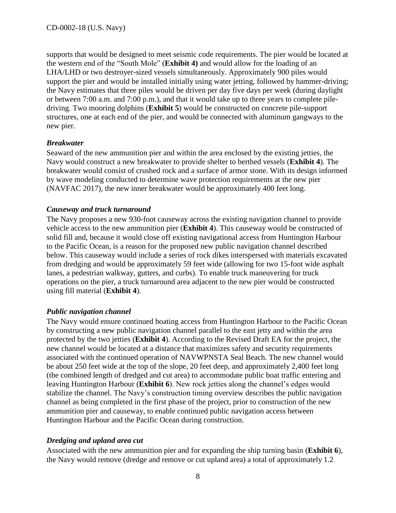supports that would be designed to meet seismic code requirements. The pier would be located at the western end of the "South Mole" (**Exhibit 4)** and would allow for the loading of an LHA/LHD or two destroyer-sized vessels simultaneously. Approximately 900 piles would support the pier and would be installed initially using water jetting, followed by hammer-driving; the Navy estimates that three piles would be driven per day five days per week (during daylight or between 7:00 a.m. and 7:00 p.m.), and that it would take up to three years to complete piledriving. Two mooring dolphins (**Exhibit 5**) would be constructed on concrete pile-support structures, one at each end of the pier, and would be connected with aluminum gangways to the new pier.

# *Breakwater*

Seaward of the new ammunition pier and within the area enclosed by the existing jetties, the Navy would construct a new breakwater to provide shelter to berthed vessels (**Exhibit 4**). The breakwater would consist of crushed rock and a surface of armor stone. With its design informed by wave modeling conducted to determine wave protection requirements at the new pier (NAVFAC 2017), the new inner breakwater would be approximately 400 feet long.

# *Causeway and truck turnaround*

The Navy proposes a new 930-foot causeway across the existing navigation channel to provide vehicle access to the new ammunition pier (**Exhibit 4**). This causeway would be constructed of solid fill and, because it would close off existing navigational access from Huntington Harbour to the Pacific Ocean, is a reason for the proposed new public navigation channel described below. This causeway would include a series of rock dikes interspersed with materials excavated from dredging and would be approximately 59 feet wide (allowing for two 15-foot wide asphalt lanes, a pedestrian walkway, gutters, and curbs). To enable truck maneuvering for truck operations on the pier, a truck turnaround area adjacent to the new pier would be constructed using fill material (**Exhibit 4**).

# *Public navigation channel*

The Navy would ensure continued boating access from Huntington Harbour to the Pacific Ocean by constructing a new public navigation channel parallel to the east jetty and within the area protected by the two jetties (**Exhibit 4**). According to the Revised Draft EA for the project, the new channel would be located at a distance that maximizes safety and security requirements associated with the continued operation of NAVWPNSTA Seal Beach. The new channel would be about 250 feet wide at the top of the slope, 20 feet deep, and approximately 2,400 feet long (the combined length of dredged and cut area) to accommodate public boat traffic entering and leaving Huntington Harbour (**Exhibit 6**). New rock jetties along the channel's edges would stabilize the channel. The Navy's construction timing overview describes the public navigation channel as being completed in the first phase of the project, prior to construction of the new ammunition pier and causeway, to enable continued public navigation access between Huntington Harbour and the Pacific Ocean during construction.

# *Dredging and upland area cut*

Associated with the new ammunition pier and for expanding the ship turning basin (**Exhibit 6**), the Navy would remove (dredge and remove or cut upland area) a total of approximately 1.2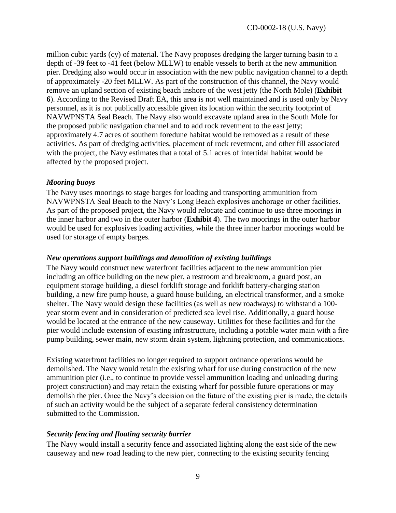million cubic yards (cy) of material. The Navy proposes dredging the larger turning basin to a depth of -39 feet to -41 feet (below MLLW) to enable vessels to berth at the new ammunition pier. Dredging also would occur in association with the new public navigation channel to a depth of approximately -20 feet MLLW. As part of the construction of this channel, the Navy would remove an upland section of existing beach inshore of the west jetty (the North Mole) (**Exhibit 6**). According to the Revised Draft EA, this area is not well maintained and is used only by Navy personnel, as it is not publically accessible given its location within the security footprint of NAVWPNSTA Seal Beach. The Navy also would excavate upland area in the South Mole for the proposed public navigation channel and to add rock revetment to the east jetty; approximately 4.7 acres of southern foredune habitat would be removed as a result of these activities. As part of dredging activities, placement of rock revetment, and other fill associated with the project, the Navy estimates that a total of 5.1 acres of intertidal habitat would be affected by the proposed project.

#### *Mooring buoys*

The Navy uses moorings to stage barges for loading and transporting ammunition from NAVWPNSTA Seal Beach to the Navy's Long Beach explosives anchorage or other facilities. As part of the proposed project, the Navy would relocate and continue to use three moorings in the inner harbor and two in the outer harbor (**Exhibit 4**). The two moorings in the outer harbor would be used for explosives loading activities, while the three inner harbor moorings would be used for storage of empty barges.

#### *New operations support buildings and demolition of existing buildings*

The Navy would construct new waterfront facilities adjacent to the new ammunition pier including an office building on the new pier, a restroom and breakroom, a guard post, an equipment storage building, a diesel forklift storage and forklift battery-charging station building, a new fire pump house, a guard house building, an electrical transformer, and a smoke shelter. The Navy would design these facilities (as well as new roadways) to withstand a 100 year storm event and in consideration of predicted sea level rise. Additionally, a guard house would be located at the entrance of the new causeway. Utilities for these facilities and for the pier would include extension of existing infrastructure, including a potable water main with a fire pump building, sewer main, new storm drain system, lightning protection, and communications.

Existing waterfront facilities no longer required to support ordnance operations would be demolished. The Navy would retain the existing wharf for use during construction of the new ammunition pier (i.e., to continue to provide vessel ammunition loading and unloading during project construction) and may retain the existing wharf for possible future operations or may demolish the pier. Once the Navy's decision on the future of the existing pier is made, the details of such an activity would be the subject of a separate federal consistency determination submitted to the Commission.

#### *Security fencing and floating security barrier*

The Navy would install a security fence and associated lighting along the east side of the new causeway and new road leading to the new pier, connecting to the existing security fencing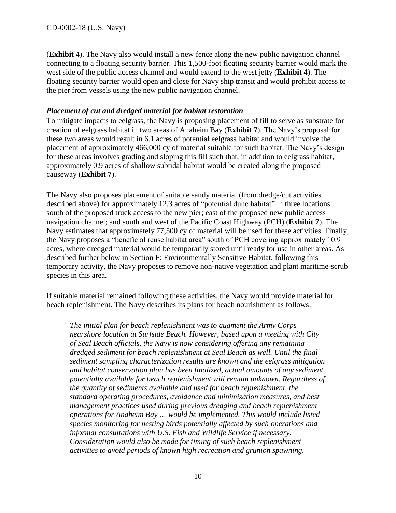(**Exhibit 4**). The Navy also would install a new fence along the new public navigation channel connecting to a floating security barrier. This 1,500-foot floating security barrier would mark the west side of the public access channel and would extend to the west jetty (**Exhibit 4**). The floating security barrier would open and close for Navy ship transit and would prohibit access to the pier from vessels using the new public navigation channel.

# *Placement of cut and dredged material for habitat restoration*

To mitigate impacts to eelgrass, the Navy is proposing placement of fill to serve as substrate for creation of eelgrass habitat in two areas of Anaheim Bay (**Exhibit 7**). The Navy's proposal for these two areas would result in 6.1 acres of potential eelgrass habitat and would involve the placement of approximately 466,000 cy of material suitable for such habitat. The Navy's design for these areas involves grading and sloping this fill such that, in addition to eelgrass habitat, approximately 0.9 acres of shallow subtidal habitat would be created along the proposed causeway (**Exhibit 7**).

The Navy also proposes placement of suitable sandy material (from dredge/cut activities described above) for approximately 12.3 acres of "potential dune habitat" in three locations: south of the proposed truck access to the new pier; east of the proposed new public access navigation channel; and south and west of the Pacific Coast Highway (PCH) (**Exhibit 7**). The Navy estimates that approximately 77,500 cy of material will be used for these activities. Finally, the Navy proposes a "beneficial reuse habitat area" south of PCH covering approximately 10.9 acres, where dredged material would be temporarily stored until ready for use in other areas. As described further below in Section F: Environmentally Sensitive Habitat, following this temporary activity, the Navy proposes to remove non-native vegetation and plant maritime-scrub species in this area.

If suitable material remained following these activities, the Navy would provide material for beach replenishment. The Navy describes its plans for beach nourishment as follows:

*The initial plan for beach replenishment was to augment the Army Corps nearshore location at Surfside Beach. However, based upon a meeting with City of Seal Beach officials, the Navy is now considering offering any remaining dredged sediment for beach replenishment at Seal Beach as well. Until the final sediment sampling characterization results are known and the eelgrass mitigation and habitat conservation plan has been finalized, actual amounts of any sediment potentially available for beach replenishment will remain unknown. Regardless of the quantity of sediments available and used for beach replenishment, the standard operating procedures, avoidance and minimization measures, and best management practices used during previous dredging and beach replenishment operations for Anaheim Bay … would be implemented. This would include listed species monitoring for nesting birds potentially affected by such operations and informal consultations with U.S. Fish and Wildlife Service if necessary. Consideration would also be made for timing of such beach replenishment activities to avoid periods of known high recreation and grunion spawning.*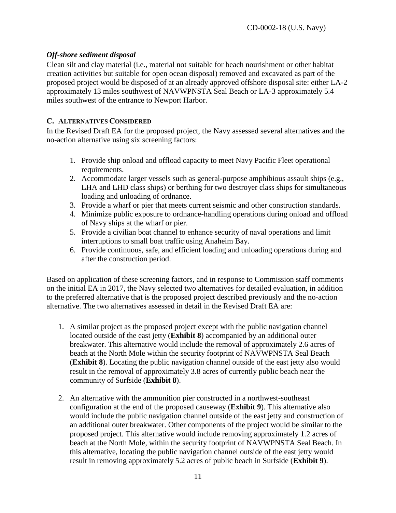# *Off-shore sediment disposal*

Clean silt and clay material (i.e., material not suitable for beach nourishment or other habitat creation activities but suitable for open ocean disposal) removed and excavated as part of the proposed project would be disposed of at an already approved offshore disposal site: either LA-2 approximately 13 miles southwest of NAVWPNSTA Seal Beach or LA-3 approximately 5.4 miles southwest of the entrance to Newport Harbor.

#### <span id="page-10-0"></span>**C. ALTERNATIVES CONSIDERED**

In the Revised Draft EA for the proposed project, the Navy assessed several alternatives and the no-action alternative using six screening factors:

- 1. Provide ship onload and offload capacity to meet Navy Pacific Fleet operational requirements.
- 2. Accommodate larger vessels such as general-purpose amphibious assault ships (e.g., LHA and LHD class ships) or berthing for two destroyer class ships for simultaneous loading and unloading of ordnance.
- 3. Provide a wharf or pier that meets current seismic and other construction standards.
- 4. Minimize public exposure to ordnance-handling operations during onload and offload of Navy ships at the wharf or pier.
- 5. Provide a civilian boat channel to enhance security of naval operations and limit interruptions to small boat traffic using Anaheim Bay.
- 6. Provide continuous, safe, and efficient loading and unloading operations during and after the construction period.

Based on application of these screening factors, and in response to Commission staff comments on the initial EA in 2017, the Navy selected two alternatives for detailed evaluation, in addition to the preferred alternative that is the proposed project described previously and the no-action alternative. The two alternatives assessed in detail in the Revised Draft EA are:

- 1. A similar project as the proposed project except with the public navigation channel located outside of the east jetty (**Exhibit 8**) accompanied by an additional outer breakwater. This alternative would include the removal of approximately 2.6 acres of beach at the North Mole within the security footprint of NAVWPNSTA Seal Beach (**Exhibit 8**). Locating the public navigation channel outside of the east jetty also would result in the removal of approximately 3.8 acres of currently public beach near the community of Surfside (**Exhibit 8**).
- 2. An alternative with the ammunition pier constructed in a northwest-southeast configuration at the end of the proposed causeway (**Exhibit 9**). This alternative also would include the public navigation channel outside of the east jetty and construction of an additional outer breakwater. Other components of the project would be similar to the proposed project. This alternative would include removing approximately 1.2 acres of beach at the North Mole, within the security footprint of NAVWPNSTA Seal Beach. In this alternative, locating the public navigation channel outside of the east jetty would result in removing approximately 5.2 acres of public beach in Surfside (**Exhibit 9**).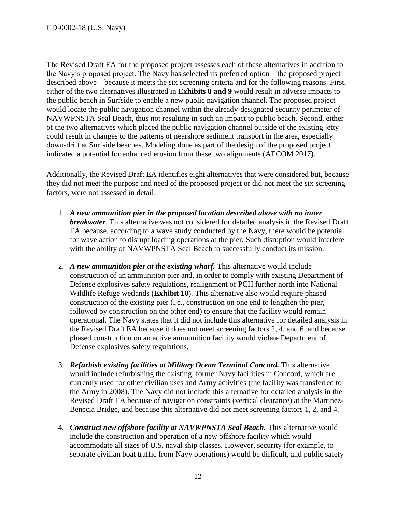The Revised Draft EA for the proposed project assesses each of these alternatives in addition to the Navy's proposed project. The Navy has selected its preferred option—the proposed project described above—because it meets the six screening criteria and for the following reasons. First, either of the two alternatives illustrated in **Exhibits 8 and 9** would result in adverse impacts to the public beach in Surfside to enable a new public navigation channel. The proposed project would locate the public navigation channel within the already-designated security perimeter of NAVWPNSTA Seal Beach, thus not resulting in such an impact to public beach. Second, either of the two alternatives which placed the public navigation channel outside of the existing jetty could result in changes to the patterns of nearshore sediment transport in the area, especially down-drift at Surfside beaches. Modeling done as part of the design of the proposed project indicated a potential for enhanced erosion from these two alignments (AECOM 2017).

Additionally, the Revised Draft EA identifies eight alternatives that were considered but, because they did not meet the purpose and need of the proposed project or did not meet the six screening factors, were not assessed in detail:

- 1. *A new ammunition pier in the proposed location described above with no inner breakwater*. This alternative was not considered for detailed analysis in the Revised Draft EA because, according to a wave study conducted by the Navy, there would be potential for wave action to disrupt loading operations at the pier. Such disruption would interfere with the ability of NAVWPNSTA Seal Beach to successfully conduct its mission.
- 2. *A new ammunition pier at the existing wharf.* This alternative would include construction of an ammunition pier and, in order to comply with existing Department of Defense explosives safety regulations, realignment of PCH further north into National Wildlife Refuge wetlands (**Exhibit 10**). This alternative also would require phased construction of the existing pier (i.e., construction on one end to lengthen the pier, followed by construction on the other end) to ensure that the facility would remain operational. The Navy states that it did not include this alternative for detailed analysis in the Revised Draft EA because it does not meet screening factors 2, 4, and 6, and because phased construction on an active ammunition facility would violate Department of Defense explosives safety regulations.
- 3. *Refurbish existing facilities at Military Ocean Terminal Concord.* This alternative would include refurbishing the existing, former Navy facilities in Concord, which are currently used for other civilian uses and Army activities (the facility was transferred to the Army in 2008). The Navy did not include this alternative for detailed analysis in the Revised Draft EA because of navigation constraints (vertical clearance) at the Martinez-Benecia Bridge, and because this alternative did not meet screening factors 1, 2, and 4.
- 4. *Construct new offshore facility at NAVWPNSTA Seal Beach.* This alternative would include the construction and operation of a new offshore facility which would accommodate all sizes of U.S. naval ship classes. However, security (for example, to separate civilian boat traffic from Navy operations) would be difficult, and public safety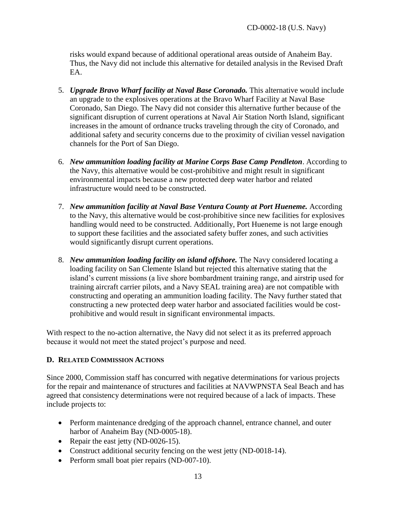risks would expand because of additional operational areas outside of Anaheim Bay. Thus, the Navy did not include this alternative for detailed analysis in the Revised Draft EA.

- 5. *Upgrade Bravo Wharf facility at Naval Base Coronado.* This alternative would include an upgrade to the explosives operations at the Bravo Wharf Facility at Naval Base Coronado, San Diego. The Navy did not consider this alternative further because of the significant disruption of current operations at Naval Air Station North Island, significant increases in the amount of ordnance trucks traveling through the city of Coronado, and additional safety and security concerns due to the proximity of civilian vessel navigation channels for the Port of San Diego.
- 6. *New ammunition loading facility at Marine Corps Base Camp Pendleton*. According to the Navy, this alternative would be cost-prohibitive and might result in significant environmental impacts because a new protected deep water harbor and related infrastructure would need to be constructed.
- 7. *New ammunition facility at Naval Base Ventura County at Port Hueneme.* According to the Navy, this alternative would be cost-prohibitive since new facilities for explosives handling would need to be constructed. Additionally, Port Hueneme is not large enough to support these facilities and the associated safety buffer zones, and such activities would significantly disrupt current operations.
- 8. *New ammunition loading facility on island offshore.* The Navy considered locating a loading facility on San Clemente Island but rejected this alternative stating that the island's current missions (a live shore bombardment training range, and airstrip used for training aircraft carrier pilots, and a Navy SEAL training area) are not compatible with constructing and operating an ammunition loading facility. The Navy further stated that constructing a new protected deep water harbor and associated facilities would be costprohibitive and would result in significant environmental impacts.

With respect to the no-action alternative, the Navy did not select it as its preferred approach because it would not meet the stated project's purpose and need.

# <span id="page-12-0"></span>**D. RELATED COMMISSION ACTIONS**

Since 2000, Commission staff has concurred with negative determinations for various projects for the repair and maintenance of structures and facilities at NAVWPNSTA Seal Beach and has agreed that consistency determinations were not required because of a lack of impacts. These include projects to:

- Perform maintenance dredging of the approach channel, entrance channel, and outer harbor of Anaheim Bay (ND-0005-18).
- Repair the east jetty (ND-0026-15).
- Construct additional security fencing on the west jetty (ND-0018-14).
- Perform small boat pier repairs (ND-007-10).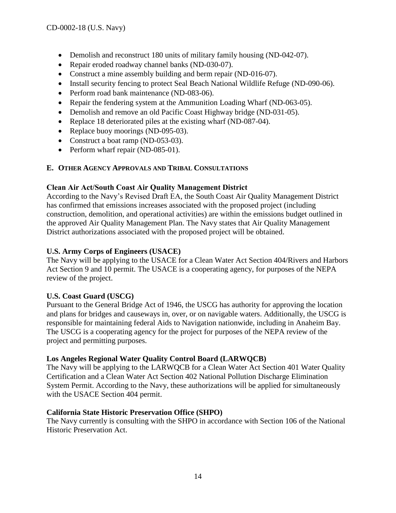- Demolish and reconstruct 180 units of military family housing (ND-042-07).
- Repair eroded roadway channel banks (ND-030-07).
- Construct a mine assembly building and berm repair (ND-016-07).
- Install security fencing to protect Seal Beach National Wildlife Refuge (ND-090-06).
- Perform road bank maintenance (ND-083-06).
- Repair the fendering system at the Ammunition Loading Wharf (ND-063-05).
- Demolish and remove an old Pacific Coast Highway bridge (ND-031-05).
- Replace 18 deteriorated piles at the existing wharf (ND-087-04).
- Replace buoy moorings (ND-095-03).
- Construct a boat ramp (ND-053-03).
- Perform wharf repair (ND-085-01).

# <span id="page-13-0"></span>**E. OTHER AGENCY APPROVALS AND TRIBAL CONSULTATIONS**

# **Clean Air Act/South Coast Air Quality Management District**

According to the Navy's Revised Draft EA, the South Coast Air Quality Management District has confirmed that emissions increases associated with the proposed project (including construction, demolition, and operational activities) are within the emissions budget outlined in the approved Air Quality Management Plan. The Navy states that Air Quality Management District authorizations associated with the proposed project will be obtained.

# **U.S. Army Corps of Engineers (USACE)**

The Navy will be applying to the USACE for a Clean Water Act Section 404/Rivers and Harbors Act Section 9 and 10 permit. The USACE is a cooperating agency, for purposes of the NEPA review of the project.

# **U.S. Coast Guard (USCG)**

Pursuant to the General Bridge Act of 1946, the USCG has authority for approving the location and plans for bridges and causeways in, over, or on navigable waters. Additionally, the USCG is responsible for maintaining federal Aids to Navigation nationwide, including in Anaheim Bay. The USCG is a cooperating agency for the project for purposes of the NEPA review of the project and permitting purposes.

# **Los Angeles Regional Water Quality Control Board (LARWQCB)**

The Navy will be applying to the LARWQCB for a Clean Water Act Section 401 Water Quality Certification and a Clean Water Act Section 402 National Pollution Discharge Elimination System Permit. According to the Navy, these authorizations will be applied for simultaneously with the USACE Section 404 permit.

# **California State Historic Preservation Office (SHPO)**

The Navy currently is consulting with the SHPO in accordance with Section 106 of the National Historic Preservation Act.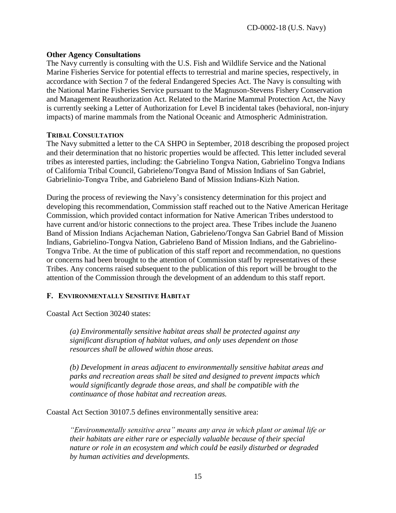#### **Other Agency Consultations**

The Navy currently is consulting with the U.S. Fish and Wildlife Service and the National Marine Fisheries Service for potential effects to terrestrial and marine species, respectively, in accordance with Section 7 of the federal Endangered Species Act. The Navy is consulting with the National Marine Fisheries Service pursuant to the Magnuson-Stevens Fishery Conservation and Management Reauthorization Act. Related to the Marine Mammal Protection Act, the Navy is currently seeking a Letter of Authorization for Level B incidental takes (behavioral, non-injury impacts) of marine mammals from the National Oceanic and Atmospheric Administration.

#### **TRIBAL CONSULTATION**

The Navy submitted a letter to the CA SHPO in September, 2018 describing the proposed project and their determination that no historic properties would be affected. This letter included several tribes as interested parties, including: the Gabrielino Tongva Nation, Gabrielino Tongva Indians of California Tribal Council, Gabrieleno/Tongva Band of Mission Indians of San Gabriel, Gabrielinio-Tongva Tribe, and Gabrieleno Band of Mission Indians-Kizh Nation.

During the process of reviewing the Navy's consistency determination for this project and developing this recommendation, Commission staff reached out to the Native American Heritage Commission, which provided contact information for Native American Tribes understood to have current and/or historic connections to the project area. These Tribes include the Juaneno Band of Mission Indians Acjacheman Nation, Gabrieleno/Tongva San Gabriel Band of Mission Indians, Gabrielino-Tongva Nation, Gabrieleno Band of Mission Indians, and the Gabrielino-Tongva Tribe. At the time of publication of this staff report and recommendation, no questions or concerns had been brought to the attention of Commission staff by representatives of these Tribes. Any concerns raised subsequent to the publication of this report will be brought to the attention of the Commission through the development of an addendum to this staff report.

# <span id="page-14-0"></span>**F. ENVIRONMENTALLY SENSITIVE HABITAT**

Coastal Act Section 30240 states:

*(a) Environmentally sensitive habitat areas shall be protected against any significant disruption of habitat values, and only uses dependent on those resources shall be allowed within those areas.*

*(b) Development in areas adjacent to environmentally sensitive habitat areas and parks and recreation areas shall be sited and designed to prevent impacts which would significantly degrade those areas, and shall be compatible with the continuance of those habitat and recreation areas.*

Coastal Act Section 30107.5 defines environmentally sensitive area:

*"Environmentally sensitive area" means any area in which plant or animal life or their habitats are either rare or especially valuable because of their special nature or role in an ecosystem and which could be easily disturbed or degraded by human activities and developments.*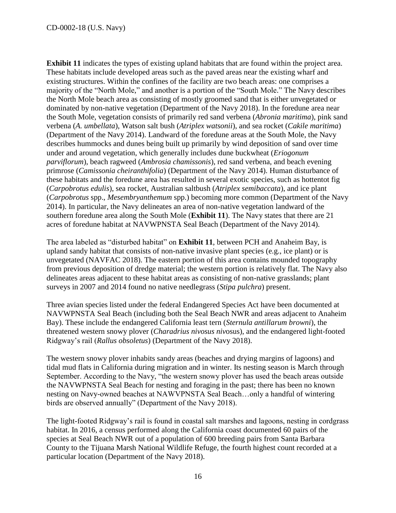**Exhibit 11** indicates the types of existing upland habitats that are found within the project area. These habitats include developed areas such as the paved areas near the existing wharf and existing structures. Within the confines of the facility are two beach areas: one comprises a majority of the "North Mole," and another is a portion of the "South Mole." The Navy describes the North Mole beach area as consisting of mostly groomed sand that is either unvegetated or dominated by non-native vegetation (Department of the Navy 2018). In the foredune area near the South Mole, vegetation consists of primarily red sand verbena (*Abronia maritima*), pink sand verbena (*A. umbellata*), Watson salt bush (*Atriplex watsonii*), and sea rocket (*Cakile maritima*) (Department of the Navy 2014). Landward of the foredune areas at the South Mole, the Navy describes hummocks and dunes being built up primarily by wind deposition of sand over time under and around vegetation, which generally includes dune buckwheat (*Eriogonum parviflorum*), beach ragweed (*Ambrosia chamissonis*), red sand verbena, and beach evening primrose (*Camissonia cheiranthifolia*) (Department of the Navy 2014). Human disturbance of these habitats and the foredune area has resulted in several exotic species, such as hottentot fig (*Carpobrotus edulis*), sea rocket, Australian saltbush (*Atriplex semibaccata*), and ice plant (*Carpobrotus* spp., *Mesembryanthemum* spp.) becoming more common (Department of the Navy 2014). In particular, the Navy delineates an area of non-native vegetation landward of the southern foredune area along the South Mole (**Exhibit 11**). The Navy states that there are 21 acres of foredune habitat at NAVWPNSTA Seal Beach (Department of the Navy 2014).

The area labeled as "disturbed habitat" on **Exhibit 11**, between PCH and Anaheim Bay, is upland sandy habitat that consists of non-native invasive plant species (e.g., ice plant) or is unvegetated (NAVFAC 2018). The eastern portion of this area contains mounded topography from previous deposition of dredge material; the western portion is relatively flat. The Navy also delineates areas adjacent to these habitat areas as consisting of non-native grasslands; plant surveys in 2007 and 2014 found no native needlegrass (*Stipa pulchra*) present.

Three avian species listed under the federal Endangered Species Act have been documented at NAVWPNSTA Seal Beach (including both the Seal Beach NWR and areas adjacent to Anaheim Bay). These include the endangered California least tern (*Sternula antillarum browni*), the threatened western snowy plover (*Charadrius nivosus niv*osus), and the endangered light-footed Ridgway's rail (*Rallus obsoletus*) (Department of the Navy 2018).

The western snowy plover inhabits sandy areas (beaches and drying margins of lagoons) and tidal mud flats in California during migration and in winter. Its nesting season is March through September. According to the Navy, "the western snowy plover has used the beach areas outside the NAVWPNSTA Seal Beach for nesting and foraging in the past; there has been no known nesting on Navy-owned beaches at NAWVPNSTA Seal Beach…only a handful of wintering birds are observed annually" (Department of the Navy 2018).

The light-footed Ridgway's rail is found in coastal salt marshes and lagoons, nesting in cordgrass habitat. In 2016, a census performed along the California coast documented 60 pairs of the species at Seal Beach NWR out of a population of 600 breeding pairs from Santa Barbara County to the Tijuana Marsh National Wildlife Refuge, the fourth highest count recorded at a particular location (Department of the Navy 2018).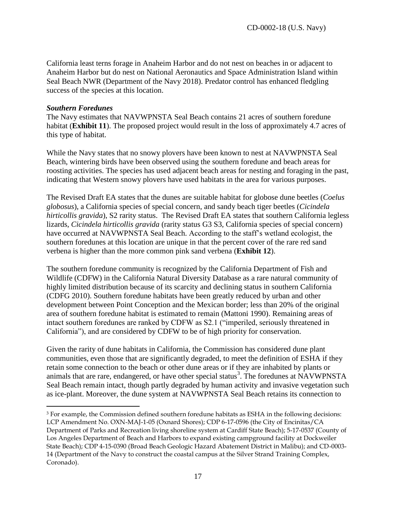California least terns forage in Anaheim Harbor and do not nest on beaches in or adjacent to Anaheim Harbor but do nest on National Aeronautics and Space Administration Island within Seal Beach NWR (Department of the Navy 2018). Predator control has enhanced fledgling success of the species at this location.

#### *Southern Foredunes*

 $\overline{a}$ 

The Navy estimates that NAVWPNSTA Seal Beach contains 21 acres of southern foredune habitat (**Exhibit 11**). The proposed project would result in the loss of approximately 4.7 acres of this type of habitat.

While the Navy states that no snowy plovers have been known to nest at NAVWPNSTA Seal Beach, wintering birds have been observed using the southern foredune and beach areas for roosting activities. The species has used adjacent beach areas for nesting and foraging in the past, indicating that Western snowy plovers have used habitats in the area for various purposes.

The Revised Draft EA states that the dunes are suitable habitat for globose dune beetles (*Coelus globosus*), a California species of special concern, and sandy beach tiger beetles (*Cicindela hirticollis gravida*), S2 rarity status. The Revised Draft EA states that southern California legless lizards, *Cicindela hirticollis gravida* (rarity status G3 S3, California species of special concern) have occurred at NAVWPNSTA Seal Beach. According to the staff's wetland ecologist, the southern foredunes at this location are unique in that the percent cover of the rare red sand verbena is higher than the more common pink sand verbena (**Exhibit 12**).

The southern foredune community is recognized by the California Department of Fish and Wildlife (CDFW) in the California Natural Diversity Database as a rare natural community of highly limited distribution because of its scarcity and declining status in southern California (CDFG 2010). Southern foredune habitats have been greatly reduced by urban and other development between Point Conception and the Mexican border; less than 20% of the original area of southern foredune habitat is estimated to remain (Mattoni 1990). Remaining areas of intact southern foredunes are ranked by CDFW as S2.1 ("imperiled, seriously threatened in California"), and are considered by CDFW to be of high priority for conservation.

Given the rarity of dune habitats in California, the Commission has considered dune plant communities, even those that are significantly degraded, to meet the definition of ESHA if they retain some connection to the beach or other dune areas or if they are inhabited by plants or animals that are rare, endangered, or have other special status<sup>3</sup>. The foredunes at NAVWPNSTA Seal Beach remain intact, though partly degraded by human activity and invasive vegetation such as ice-plant. Moreover, the dune system at NAVWPNSTA Seal Beach retains its connection to

<sup>3</sup> For example, the Commission defined southern foredune habitats as ESHA in the following decisions: LCP Amendment No. OXN-MAJ-1-05 (Oxnard Shores); CDP 6-17-0596 (the City of Encinitas/CA Department of Parks and Recreation living shoreline system at Cardiff State Beach); 5-17-0537 (County of Los Angeles Department of Beach and Harbors to expand existing campground facility at Dockweiler State Beach); CDP 4-15-0390 (Broad Beach Geologic Hazard Abatement District in Malibu); and CD-0003- 14 (Department of the Navy to construct the coastal campus at the Silver Strand Training Complex, Coronado).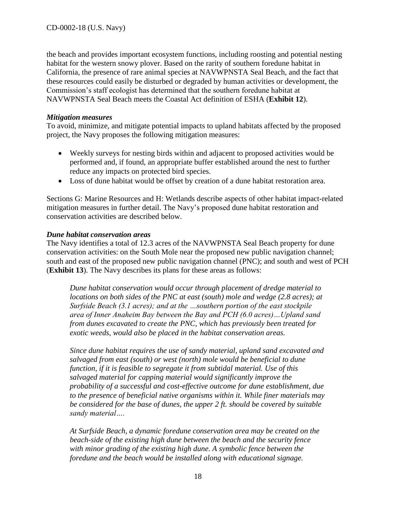the beach and provides important ecosystem functions, including roosting and potential nesting habitat for the western snowy plover. Based on the rarity of southern foredune habitat in California, the presence of rare animal species at NAVWPNSTA Seal Beach, and the fact that these resources could easily be disturbed or degraded by human activities or development, the Commission's staff ecologist has determined that the southern foredune habitat at NAVWPNSTA Seal Beach meets the Coastal Act definition of ESHA (**Exhibit 12**).

#### *Mitigation measures*

To avoid, minimize, and mitigate potential impacts to upland habitats affected by the proposed project, the Navy proposes the following mitigation measures:

- Weekly surveys for nesting birds within and adjacent to proposed activities would be performed and, if found, an appropriate buffer established around the nest to further reduce any impacts on protected bird species.
- Loss of dune habitat would be offset by creation of a dune habitat restoration area.

Sections G: Marine Resources and H: Wetlands describe aspects of other habitat impact-related mitigation measures in further detail. The Navy's proposed dune habitat restoration and conservation activities are described below.

#### *Dune habitat conservation areas*

The Navy identifies a total of 12.3 acres of the NAVWPNSTA Seal Beach property for dune conservation activities: on the South Mole near the proposed new public navigation channel; south and east of the proposed new public navigation channel (PNC); and south and west of PCH (**Exhibit 13**). The Navy describes its plans for these areas as follows:

*Dune habitat conservation would occur through placement of dredge material to locations on both sides of the PNC at east (south) mole and wedge (2.8 acres); at Surfside Beach (3.1 acres); and at the …southern portion of the east stockpile area of Inner Anaheim Bay between the Bay and PCH (6.0 acres)…Upland sand from dunes excavated to create the PNC, which has previously been treated for exotic weeds, would also be placed in the habitat conservation areas.* 

*Since dune habitat requires the use of sandy material, upland sand excavated and salvaged from east (south) or west (north) mole would be beneficial to dune function, if it is feasible to segregate it from subtidal material. Use of this salvaged material for capping material would significantly improve the probability of a successful and cost-effective outcome for dune establishment, due to the presence of beneficial native organisms within it. While finer materials may be considered for the base of dunes, the upper 2 ft. should be covered by suitable sandy material….*

*At Surfside Beach, a dynamic foredune conservation area may be created on the beach-side of the existing high dune between the beach and the security fence with minor grading of the existing high dune. A symbolic fence between the foredune and the beach would be installed along with educational signage.*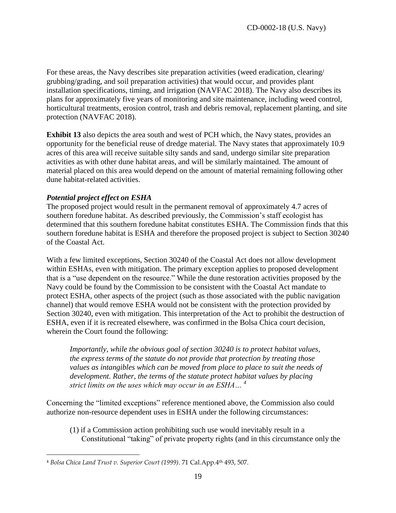For these areas, the Navy describes site preparation activities (weed eradication, clearing/ grubbing/grading, and soil preparation activities) that would occur, and provides plant installation specifications, timing, and irrigation (NAVFAC 2018). The Navy also describes its plans for approximately five years of monitoring and site maintenance, including weed control, horticultural treatments, erosion control, trash and debris removal, replacement planting, and site protection (NAVFAC 2018).

**Exhibit 13** also depicts the area south and west of PCH which, the Navy states, provides an opportunity for the beneficial reuse of dredge material. The Navy states that approximately 10.9 acres of this area will receive suitable silty sands and sand, undergo similar site preparation activities as with other dune habitat areas, and will be similarly maintained. The amount of material placed on this area would depend on the amount of material remaining following other dune habitat-related activities.

# *Potential project effect on ESHA*

The proposed project would result in the permanent removal of approximately 4.7 acres of southern foredune habitat. As described previously, the Commission's staff ecologist has determined that this southern foredune habitat constitutes ESHA. The Commission finds that this southern foredune habitat is ESHA and therefore the proposed project is subject to Section 30240 of the Coastal Act.

With a few limited exceptions, Section 30240 of the Coastal Act does not allow development within ESHAs, even with mitigation. The primary exception applies to proposed development that is a "use dependent on the resource." While the dune restoration activities proposed by the Navy could be found by the Commission to be consistent with the Coastal Act mandate to protect ESHA, other aspects of the project (such as those associated with the public navigation channel) that would remove ESHA would not be consistent with the protection provided by Section 30240, even with mitigation. This interpretation of the Act to prohibit the destruction of ESHA, even if it is recreated elsewhere, was confirmed in the Bolsa Chica court decision, wherein the Court found the following:

*Importantly, while the obvious goal of section 30240 is to protect habitat values, the express terms of the statute do not provide that protection by treating those values as intangibles which can be moved from place to place to suit the needs of development. Rather, the terms of the statute protect habitat values by placing strict limits on the uses which may occur in an ESHA… <sup>4</sup>*

Concerning the "limited exceptions" reference mentioned above, the Commission also could authorize non-resource dependent uses in ESHA under the following circumstances:

(1) if a Commission action prohibiting such use would inevitably result in a Constitutional "taking" of private property rights (and in this circumstance only the

 $\overline{a}$ <sup>4</sup> *Bolsa Chica Land Trust v. Superior Court (1999)*. 71 Cal.App.4th 493, 507.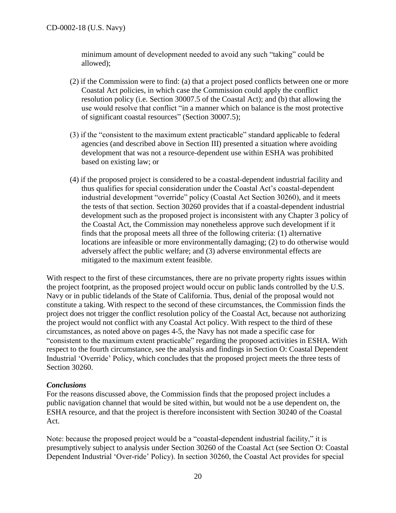minimum amount of development needed to avoid any such "taking" could be allowed);

- (2) if the Commission were to find: (a) that a project posed conflicts between one or more Coastal Act policies, in which case the Commission could apply the conflict resolution policy (i.e. Section 30007.5 of the Coastal Act); and (b) that allowing the use would resolve that conflict "in a manner which on balance is the most protective of significant coastal resources" (Section 30007.5);
- (3) if the "consistent to the maximum extent practicable" standard applicable to federal agencies (and described above in Section III) presented a situation where avoiding development that was not a resource-dependent use within ESHA was prohibited based on existing law; or
- (4) if the proposed project is considered to be a coastal-dependent industrial facility and thus qualifies for special consideration under the Coastal Act's coastal-dependent industrial development "override" policy (Coastal Act Section 30260), and it meets the tests of that section. Section 30260 provides that if a coastal-dependent industrial development such as the proposed project is inconsistent with any Chapter 3 policy of the Coastal Act, the Commission may nonetheless approve such development if it finds that the proposal meets all three of the following criteria: (1) alternative locations are infeasible or more environmentally damaging; (2) to do otherwise would adversely affect the public welfare; and (3) adverse environmental effects are mitigated to the maximum extent feasible.

With respect to the first of these circumstances, there are no private property rights issues within the project footprint, as the proposed project would occur on public lands controlled by the U.S. Navy or in public tidelands of the State of California. Thus, denial of the proposal would not constitute a taking. With respect to the second of these circumstances, the Commission finds the project does not trigger the conflict resolution policy of the Coastal Act, because not authorizing the project would not conflict with any Coastal Act policy. With respect to the third of these circumstances, as noted above on pages 4-5, the Navy has not made a specific case for "consistent to the maximum extent practicable" regarding the proposed activities in ESHA. With respect to the fourth circumstance, see the analysis and findings in Section O: Coastal Dependent Industrial 'Override' Policy, which concludes that the proposed project meets the three tests of Section 30260.

# *Conclusions*

For the reasons discussed above, the Commission finds that the proposed project includes a public navigation channel that would be sited within, but would not be a use dependent on, the ESHA resource, and that the project is therefore inconsistent with Section 30240 of the Coastal Act.

Note: because the proposed project would be a "coastal-dependent industrial facility," it is presumptively subject to analysis under Section 30260 of the Coastal Act (see Section O: Coastal Dependent Industrial 'Over-ride' Policy). In section 30260, the Coastal Act provides for special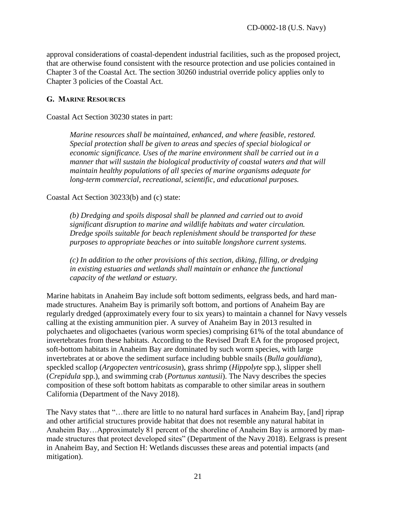approval considerations of coastal-dependent industrial facilities, such as the proposed project, that are otherwise found consistent with the resource protection and use policies contained in Chapter 3 of the Coastal Act. The section 30260 industrial override policy applies only to Chapter 3 policies of the Coastal Act.

#### <span id="page-20-0"></span>**G. MARINE RESOURCES**

Coastal Act Section 30230 states in part:

*Marine resources shall be maintained, enhanced, and where feasible, restored. Special protection shall be given to areas and species of special biological or economic significance. Uses of the marine environment shall be carried out in a manner that will sustain the biological productivity of coastal waters and that will maintain healthy populations of all species of marine organisms adequate for long-term commercial, recreational, scientific, and educational purposes.* 

Coastal Act Section 30233(b) and (c) state:

*(b) Dredging and spoils disposal shall be planned and carried out to avoid significant disruption to marine and wildlife habitats and water circulation. Dredge spoils suitable for beach replenishment should be transported for these purposes to appropriate beaches or into suitable longshore current systems.* 

*(c) In addition to the other provisions of this section, diking, filling, or dredging in existing estuaries and wetlands shall maintain or enhance the functional capacity of the wetland or estuary.* 

Marine habitats in Anaheim Bay include soft bottom sediments, eelgrass beds, and hard manmade structures. Anaheim Bay is primarily soft bottom, and portions of Anaheim Bay are regularly dredged (approximately every four to six years) to maintain a channel for Navy vessels calling at the existing ammunition pier. A survey of Anaheim Bay in 2013 resulted in polychaetes and oligochaetes (various worm species) comprising 61% of the total abundance of invertebrates from these habitats. According to the Revised Draft EA for the proposed project, soft-bottom habitats in Anaheim Bay are dominated by such worm species, with large invertebrates at or above the sediment surface including bubble snails (*Bulla gouldiana*), speckled scallop (*Argopecten ventricosusin*), grass shrimp (*Hippolyte* spp.), slipper shell (*Crepidula* spp.), and swimming crab (*Portunus xantusii*). The Navy describes the species composition of these soft bottom habitats as comparable to other similar areas in southern California (Department of the Navy 2018).

The Navy states that "…there are little to no natural hard surfaces in Anaheim Bay, [and] riprap and other artificial structures provide habitat that does not resemble any natural habitat in Anaheim Bay…Approximately 81 percent of the shoreline of Anaheim Bay is armored by manmade structures that protect developed sites" (Department of the Navy 2018). Eelgrass is present in Anaheim Bay, and Section H: Wetlands discusses these areas and potential impacts (and mitigation).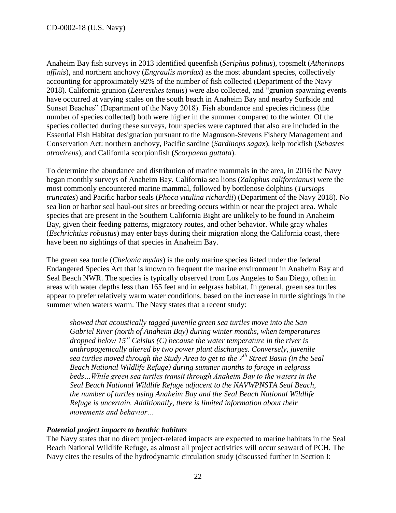Anaheim Bay fish surveys in 2013 identified queenfish (*Seriphus politus*), topsmelt (*Atherinops affinis*), and northern anchovy (*Engraulis mordax*) as the most abundant species, collectively accounting for approximately 92% of the number of fish collected (Department of the Navy 2018). California grunion (*Leuresthes tenuis*) were also collected, and "grunion spawning events have occurred at varying scales on the south beach in Anaheim Bay and nearby Surfside and Sunset Beaches" (Department of the Navy 2018). Fish abundance and species richness (the number of species collected) both were higher in the summer compared to the winter. Of the species collected during these surveys, four species were captured that also are included in the Essential Fish Habitat designation pursuant to the Magnuson-Stevens Fishery Management and Conservation Act: northern anchovy, Pacific sardine (*Sardinops sagax*), kelp rockfish (*Sebastes atrovirens*), and California scorpionfish (*Scorpaena guttata*).

To determine the abundance and distribution of marine mammals in the area, in 2016 the Navy began monthly surveys of Anaheim Bay. California sea lions (*Zalophus californianus*) were the most commonly encountered marine mammal, followed by bottlenose dolphins (*Tursiops truncates*) and Pacific harbor seals (*Phoca vitulina richardii*) (Department of the Navy 2018). No sea lion or harbor seal haul-out sites or breeding occurs within or near the project area. Whale species that are present in the Southern California Bight are unlikely to be found in Anaheim Bay, given their feeding patterns, migratory routes, and other behavior. While gray whales (*Eschrichtius robustus*) may enter bays during their migration along the California coast, there have been no sightings of that species in Anaheim Bay.

The green sea turtle (*Chelonia mydas*) is the only marine species listed under the federal Endangered Species Act that is known to frequent the marine environment in Anaheim Bay and Seal Beach NWR. The species is typically observed from Los Angeles to San Diego, often in areas with water depths less than 165 feet and in eelgrass habitat. In general, green sea turtles appear to prefer relatively warm water conditions, based on the increase in turtle sightings in the summer when waters warm. The Navy states that a recent study:

*showed that acoustically tagged juvenile green sea turtles move into the San Gabriel River (north of Anaheim Bay) during winter months, when temperatures dropped below 15<sup>°</sup> Celsius (C) because the water temperature in the river is anthropogenically altered by two power plant discharges. Conversely, juvenile sea turtles moved through the Study Area to get to the 7th Street Basin (in the Seal Beach National Wildlife Refuge) during summer months to forage in eelgrass beds…While green sea turtles transit through Anaheim Bay to the waters in the Seal Beach National Wildlife Refuge adjacent to the NAVWPNSTA Seal Beach, the number of turtles using Anaheim Bay and the Seal Beach National Wildlife Refuge is uncertain. Additionally, there is limited information about their movements and behavior…*

# *Potential project impacts to benthic habitats*

The Navy states that no direct project-related impacts are expected to marine habitats in the Seal Beach National Wildlife Refuge, as almost all project activities will occur seaward of PCH. The Navy cites the results of the hydrodynamic circulation study (discussed further in Section I: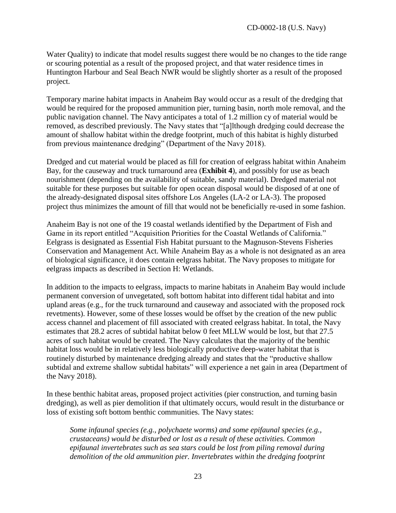Water Quality) to indicate that model results suggest there would be no changes to the tide range or scouring potential as a result of the proposed project, and that water residence times in Huntington Harbour and Seal Beach NWR would be slightly shorter as a result of the proposed project.

Temporary marine habitat impacts in Anaheim Bay would occur as a result of the dredging that would be required for the proposed ammunition pier, turning basin, north mole removal, and the public navigation channel. The Navy anticipates a total of 1.2 million cy of material would be removed, as described previously. The Navy states that "[a]lthough dredging could decrease the amount of shallow habitat within the dredge footprint, much of this habitat is highly disturbed from previous maintenance dredging" (Department of the Navy 2018).

Dredged and cut material would be placed as fill for creation of eelgrass habitat within Anaheim Bay, for the causeway and truck turnaround area (**Exhibit 4**), and possibly for use as beach nourishment (depending on the availability of suitable, sandy material). Dredged material not suitable for these purposes but suitable for open ocean disposal would be disposed of at one of the already-designated disposal sites offshore Los Angeles (LA-2 or LA-3). The proposed project thus minimizes the amount of fill that would not be beneficially re-used in some fashion.

Anaheim Bay is not one of the 19 coastal wetlands identified by the Department of Fish and Game in its report entitled "Acquisition Priorities for the Coastal Wetlands of California." Eelgrass is designated as Essential Fish Habitat pursuant to the Magnuson-Stevens Fisheries Conservation and Management Act. While Anaheim Bay as a whole is not designated as an area of biological significance, it does contain eelgrass habitat. The Navy proposes to mitigate for eelgrass impacts as described in Section H: Wetlands.

In addition to the impacts to eelgrass, impacts to marine habitats in Anaheim Bay would include permanent conversion of unvegetated, soft bottom habitat into different tidal habitat and into upland areas (e.g., for the truck turnaround and causeway and associated with the proposed rock revetments). However, some of these losses would be offset by the creation of the new public access channel and placement of fill associated with created eelgrass habitat. In total, the Navy estimates that 28.2 acres of subtidal habitat below 0 feet MLLW would be lost, but that 27.5 acres of such habitat would be created. The Navy calculates that the majority of the benthic habitat loss would be in relatively less biologically productive deep-water habitat that is routinely disturbed by maintenance dredging already and states that the "productive shallow subtidal and extreme shallow subtidal habitats" will experience a net gain in area (Department of the Navy 2018).

In these benthic habitat areas, proposed project activities (pier construction, and turning basin dredging), as well as pier demolition if that ultimately occurs, would result in the disturbance or loss of existing soft bottom benthic communities. The Navy states:

*Some infaunal species (e.g., polychaete worms) and some epifaunal species (e.g., crustaceans) would be disturbed or lost as a result of these activities. Common epifaunal invertebrates such as sea stars could be lost from piling removal during demolition of the old ammunition pier. Invertebrates within the dredging footprint*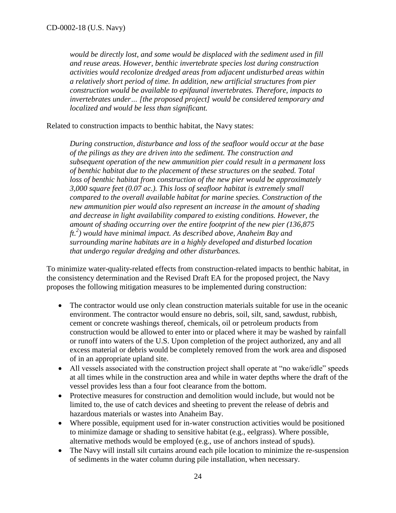*would be directly lost, and some would be displaced with the sediment used in fill and reuse areas. However, benthic invertebrate species lost during construction activities would recolonize dredged areas from adjacent undisturbed areas within a relatively short period of time. In addition, new artificial structures from pier construction would be available to epifaunal invertebrates. Therefore, impacts to invertebrates under… [the proposed project] would be considered temporary and localized and would be less than significant.*

Related to construction impacts to benthic habitat, the Navy states:

*During construction, disturbance and loss of the seafloor would occur at the base of the pilings as they are driven into the sediment. The construction and subsequent operation of the new ammunition pier could result in a permanent loss of benthic habitat due to the placement of these structures on the seabed. Total loss of benthic habitat from construction of the new pier would be approximately 3,000 square feet (0.07 ac.). This loss of seafloor habitat is extremely small compared to the overall available habitat for marine species. Construction of the new ammunition pier would also represent an increase in the amount of shading and decrease in light availability compared to existing conditions. However, the amount of shading occurring over the entire footprint of the new pier (136,875 ft.2 ) would have minimal impact. As described above, Anaheim Bay and surrounding marine habitats are in a highly developed and disturbed location that undergo regular dredging and other disturbances.*

To minimize water-quality-related effects from construction-related impacts to benthic habitat, in the consistency determination and the Revised Draft EA for the proposed project, the Navy proposes the following mitigation measures to be implemented during construction:

- The contractor would use only clean construction materials suitable for use in the oceanic environment. The contractor would ensure no debris, soil, silt, sand, sawdust, rubbish, cement or concrete washings thereof, chemicals, oil or petroleum products from construction would be allowed to enter into or placed where it may be washed by rainfall or runoff into waters of the U.S. Upon completion of the project authorized, any and all excess material or debris would be completely removed from the work area and disposed of in an appropriate upland site.
- All vessels associated with the construction project shall operate at "no wake/idle" speeds at all times while in the construction area and while in water depths where the draft of the vessel provides less than a four foot clearance from the bottom.
- Protective measures for construction and demolition would include, but would not be limited to, the use of catch devices and sheeting to prevent the release of debris and hazardous materials or wastes into Anaheim Bay.
- Where possible, equipment used for in-water construction activities would be positioned to minimize damage or shading to sensitive habitat (e.g., eelgrass). Where possible, alternative methods would be employed (e.g., use of anchors instead of spuds).
- The Navy will install silt curtains around each pile location to minimize the re-suspension of sediments in the water column during pile installation, when necessary.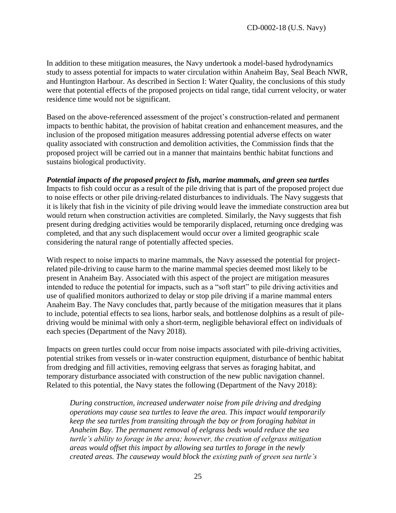In addition to these mitigation measures, the Navy undertook a model-based hydrodynamics study to assess potential for impacts to water circulation within Anaheim Bay, Seal Beach NWR, and Huntington Harbour. As described in Section I: Water Quality, the conclusions of this study were that potential effects of the proposed projects on tidal range, tidal current velocity, or water residence time would not be significant.

Based on the above-referenced assessment of the project's construction-related and permanent impacts to benthic habitat, the provision of habitat creation and enhancement measures, and the inclusion of the proposed mitigation measures addressing potential adverse effects on water quality associated with construction and demolition activities, the Commission finds that the proposed project will be carried out in a manner that maintains benthic habitat functions and sustains biological productivity.

*Potential impacts of the proposed project to fish, marine mammals, and green sea turtles* Impacts to fish could occur as a result of the pile driving that is part of the proposed project due to noise effects or other pile driving-related disturbances to individuals. The Navy suggests that it is likely that fish in the vicinity of pile driving would leave the immediate construction area but would return when construction activities are completed. Similarly, the Navy suggests that fish present during dredging activities would be temporarily displaced, returning once dredging was completed, and that any such displacement would occur over a limited geographic scale considering the natural range of potentially affected species.

With respect to noise impacts to marine mammals, the Navy assessed the potential for projectrelated pile-driving to cause harm to the marine mammal species deemed most likely to be present in Anaheim Bay. Associated with this aspect of the project are mitigation measures intended to reduce the potential for impacts, such as a "soft start" to pile driving activities and use of qualified monitors authorized to delay or stop pile driving if a marine mammal enters Anaheim Bay. The Navy concludes that, partly because of the mitigation measures that it plans to include, potential effects to sea lions, harbor seals, and bottlenose dolphins as a result of piledriving would be minimal with only a short-term, negligible behavioral effect on individuals of each species (Department of the Navy 2018).

Impacts on green turtles could occur from noise impacts associated with pile-driving activities, potential strikes from vessels or in-water construction equipment, disturbance of benthic habitat from dredging and fill activities, removing eelgrass that serves as foraging habitat, and temporary disturbance associated with construction of the new public navigation channel. Related to this potential, the Navy states the following (Department of the Navy 2018):

*During construction, increased underwater noise from pile driving and dredging operations may cause sea turtles to leave the area. This impact would temporarily keep the sea turtles from transiting through the bay or from foraging habitat in Anaheim Bay. The permanent removal of eelgrass beds would reduce the sea turtle's ability to forage in the area; however, the creation of eelgrass mitigation areas would offset this impact by allowing sea turtles to forage in the newly created areas. The causeway would block the existing path of green sea turtle's*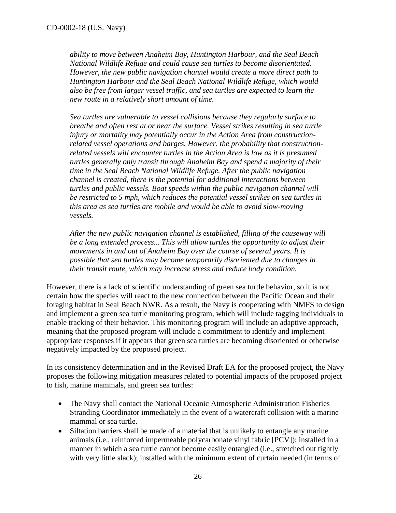*ability to move between Anaheim Bay, Huntington Harbour, and the Seal Beach National Wildlife Refuge and could cause sea turtles to become disorientated. However, the new public navigation channel would create a more direct path to Huntington Harbour and the Seal Beach National Wildlife Refuge, which would also be free from larger vessel traffic, and sea turtles are expected to learn the new route in a relatively short amount of time.*

*Sea turtles are vulnerable to vessel collisions because they regularly surface to breathe and often rest at or near the surface. Vessel strikes resulting in sea turtle injury or mortality may potentially occur in the Action Area from constructionrelated vessel operations and barges. However, the probability that constructionrelated vessels will encounter turtles in the Action Area is low as it is presumed turtles generally only transit through Anaheim Bay and spend a majority of their time in the Seal Beach National Wildlife Refuge. After the public navigation channel is created, there is the potential for additional interactions between turtles and public vessels. Boat speeds within the public navigation channel will be restricted to 5 mph, which reduces the potential vessel strikes on sea turtles in this area as sea turtles are mobile and would be able to avoid slow-moving vessels.*

*After the new public navigation channel is established, filling of the causeway will be a long extended process... This will allow turtles the opportunity to adjust their movements in and out of Anaheim Bay over the course of several years. It is possible that sea turtles may become temporarily disoriented due to changes in their transit route, which may increase stress and reduce body condition.*

However, there is a lack of scientific understanding of green sea turtle behavior, so it is not certain how the species will react to the new connection between the Pacific Ocean and their foraging habitat in Seal Beach NWR. As a result, the Navy is cooperating with NMFS to design and implement a green sea turtle monitoring program, which will include tagging individuals to enable tracking of their behavior. This monitoring program will include an adaptive approach, meaning that the proposed program will include a commitment to identify and implement appropriate responses if it appears that green sea turtles are becoming disoriented or otherwise negatively impacted by the proposed project.

In its consistency determination and in the Revised Draft EA for the proposed project, the Navy proposes the following mitigation measures related to potential impacts of the proposed project to fish, marine mammals, and green sea turtles:

- The Navy shall contact the National Oceanic Atmospheric Administration Fisheries Stranding Coordinator immediately in the event of a watercraft collision with a marine mammal or sea turtle.
- Siltation barriers shall be made of a material that is unlikely to entangle any marine animals (i.e., reinforced impermeable polycarbonate vinyl fabric [PCV]); installed in a manner in which a sea turtle cannot become easily entangled (i.e., stretched out tightly with very little slack); installed with the minimum extent of curtain needed (in terms of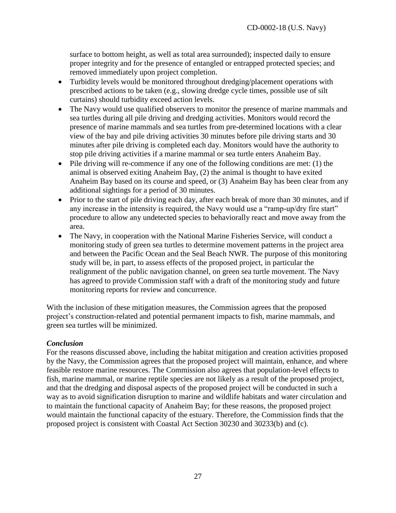surface to bottom height, as well as total area surrounded); inspected daily to ensure proper integrity and for the presence of entangled or entrapped protected species; and removed immediately upon project completion.

- Turbidity levels would be monitored throughout dredging/placement operations with prescribed actions to be taken (e.g., slowing dredge cycle times, possible use of silt curtains) should turbidity exceed action levels.
- The Navy would use qualified observers to monitor the presence of marine mammals and sea turtles during all pile driving and dredging activities. Monitors would record the presence of marine mammals and sea turtles from pre-determined locations with a clear view of the bay and pile driving activities 30 minutes before pile driving starts and 30 minutes after pile driving is completed each day. Monitors would have the authority to stop pile driving activities if a marine mammal or sea turtle enters Anaheim Bay.
- $\bullet$  Pile driving will re-commence if any one of the following conditions are met: (1) the animal is observed exiting Anaheim Bay, (2) the animal is thought to have exited Anaheim Bay based on its course and speed, or (3) Anaheim Bay has been clear from any additional sightings for a period of 30 minutes.
- Prior to the start of pile driving each day, after each break of more than 30 minutes, and if any increase in the intensity is required, the Navy would use a "ramp-up/dry fire start" procedure to allow any undetected species to behaviorally react and move away from the area.
- The Navy, in cooperation with the National Marine Fisheries Service, will conduct a monitoring study of green sea turtles to determine movement patterns in the project area and between the Pacific Ocean and the Seal Beach NWR. The purpose of this monitoring study will be, in part, to assess effects of the proposed project, in particular the realignment of the public navigation channel, on green sea turtle movement. The Navy has agreed to provide Commission staff with a draft of the monitoring study and future monitoring reports for review and concurrence.

With the inclusion of these mitigation measures, the Commission agrees that the proposed project's construction-related and potential permanent impacts to fish, marine mammals, and green sea turtles will be minimized.

# *Conclusion*

For the reasons discussed above, including the habitat mitigation and creation activities proposed by the Navy, the Commission agrees that the proposed project will maintain, enhance, and where feasible restore marine resources. The Commission also agrees that population-level effects to fish, marine mammal, or marine reptile species are not likely as a result of the proposed project, and that the dredging and disposal aspects of the proposed project will be conducted in such a way as to avoid signification disruption to marine and wildlife habitats and water circulation and to maintain the functional capacity of Anaheim Bay; for these reasons, the proposed project would maintain the functional capacity of the estuary. Therefore, the Commission finds that the proposed project is consistent with Coastal Act Section 30230 and 30233(b) and (c).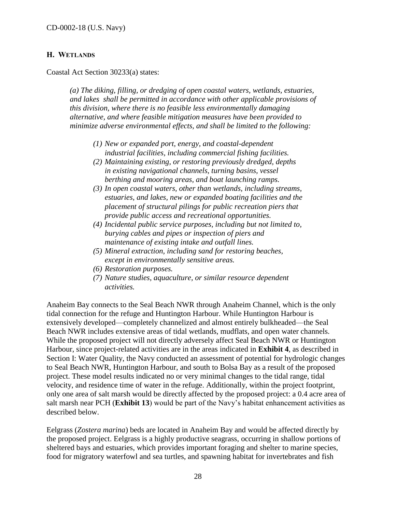#### <span id="page-27-0"></span>**H. WETLANDS**

Coastal Act Section 30233(a) states:

*(a) The diking, filling, or dredging of open coastal waters, wetlands, estuaries, and lakes shall be permitted in accordance with other applicable provisions of this division, where there is no feasible less environmentally damaging alternative, and where feasible mitigation measures have been provided to minimize adverse environmental effects, and shall be limited to the following:*

- *(1) New or expanded port, energy, and coastal-dependent industrial facilities, including commercial fishing facilities.*
- *(2) Maintaining existing, or restoring previously dredged, depths in existing navigational channels, turning basins, vessel berthing and mooring areas, and boat launching ramps.*
- *(3) In open coastal waters, other than wetlands, including streams, estuaries, and lakes, new or expanded boating facilities and the placement of structural pilings for public recreation piers that provide public access and recreational opportunities.*
- *(4) Incidental public service purposes, including but not limited to, burying cables and pipes or inspection of piers and maintenance of existing intake and outfall lines.*
- *(5) Mineral extraction, including sand for restoring beaches, except in environmentally sensitive areas.*
- *(6) Restoration purposes.*
- *(7) Nature studies, aquaculture, or similar resource dependent activities.*

Anaheim Bay connects to the Seal Beach NWR through Anaheim Channel, which is the only tidal connection for the refuge and Huntington Harbour. While Huntington Harbour is extensively developed—completely channelized and almost entirely bulkheaded—the Seal Beach NWR includes extensive areas of tidal wetlands, mudflats, and open water channels. While the proposed project will not directly adversely affect Seal Beach NWR or Huntington Harbour, since project-related activities are in the areas indicated in **Exhibit 4**, as described in Section I: Water Quality, the Navy conducted an assessment of potential for hydrologic changes to Seal Beach NWR, Huntington Harbour, and south to Bolsa Bay as a result of the proposed project. These model results indicated no or very minimal changes to the tidal range, tidal velocity, and residence time of water in the refuge. Additionally, within the project footprint, only one area of salt marsh would be directly affected by the proposed project: a 0.4 acre area of salt marsh near PCH (**Exhibit 13**) would be part of the Navy's habitat enhancement activities as described below.

Eelgrass (*Zostera marina*) beds are located in Anaheim Bay and would be affected directly by the proposed project. Eelgrass is a highly productive seagrass, occurring in shallow portions of sheltered bays and estuaries, which provides important foraging and shelter to marine species, food for migratory waterfowl and sea turtles, and spawning habitat for invertebrates and fish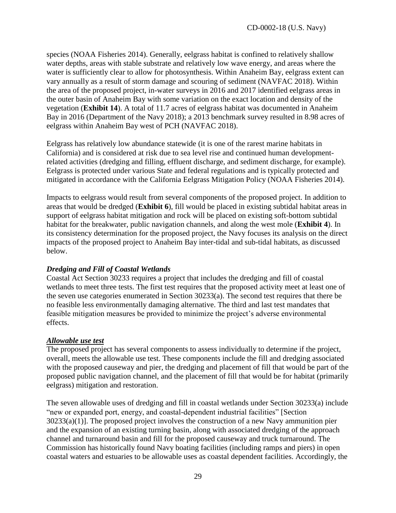species (NOAA Fisheries 2014). Generally, eelgrass habitat is confined to relatively shallow water depths, areas with stable substrate and relatively low wave energy, and areas where the water is sufficiently clear to allow for photosynthesis. Within Anaheim Bay, eelgrass extent can vary annually as a result of storm damage and scouring of sediment (NAVFAC 2018). Within the area of the proposed project, in-water surveys in 2016 and 2017 identified eelgrass areas in the outer basin of Anaheim Bay with some variation on the exact location and density of the vegetation (**Exhibit 14**). A total of 11.7 acres of eelgrass habitat was documented in Anaheim Bay in 2016 (Department of the Navy 2018); a 2013 benchmark survey resulted in 8.98 acres of eelgrass within Anaheim Bay west of PCH (NAVFAC 2018).

Eelgrass has relatively low abundance statewide (it is one of the rarest marine habitats in California) and is considered at risk due to sea level rise and continued human developmentrelated activities (dredging and filling, effluent discharge, and sediment discharge, for example). Eelgrass is protected under various State and federal regulations and is typically protected and mitigated in accordance with the California Eelgrass Mitigation Policy (NOAA Fisheries 2014).

Impacts to eelgrass would result from several components of the proposed project. In addition to areas that would be dredged (**Exhibit 6**), fill would be placed in existing subtidal habitat areas in support of eelgrass habitat mitigation and rock will be placed on existing soft-bottom subtidal habitat for the breakwater, public navigation channels, and along the west mole (**Exhibit 4**). In its consistency determination for the proposed project, the Navy focuses its analysis on the direct impacts of the proposed project to Anaheim Bay inter-tidal and sub-tidal habitats, as discussed below.

# *Dredging and Fill of Coastal Wetlands*

Coastal Act Section 30233 requires a project that includes the dredging and fill of coastal wetlands to meet three tests. The first test requires that the proposed activity meet at least one of the seven use categories enumerated in Section 30233(a). The second test requires that there be no feasible less environmentally damaging alternative. The third and last test mandates that feasible mitigation measures be provided to minimize the project's adverse environmental effects.

#### *Allowable use test*

The proposed project has several components to assess individually to determine if the project, overall, meets the allowable use test. These components include the fill and dredging associated with the proposed causeway and pier, the dredging and placement of fill that would be part of the proposed public navigation channel, and the placement of fill that would be for habitat (primarily eelgrass) mitigation and restoration.

The seven allowable uses of dredging and fill in coastal wetlands under Section 30233(a) include "new or expanded port, energy, and coastal-dependent industrial facilities" [Section 30233(a)(1)]. The proposed project involves the construction of a new Navy ammunition pier and the expansion of an existing turning basin, along with associated dredging of the approach channel and turnaround basin and fill for the proposed causeway and truck turnaround. The Commission has historically found Navy boating facilities (including ramps and piers) in open coastal waters and estuaries to be allowable uses as coastal dependent facilities. Accordingly, the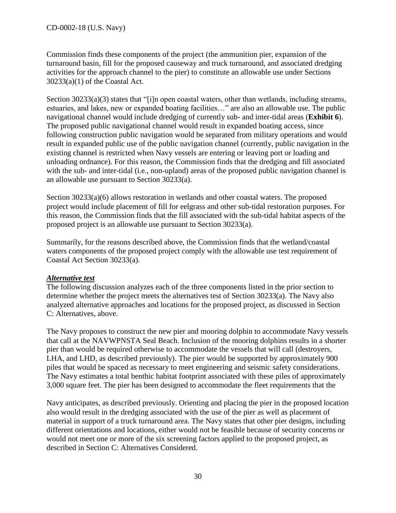Commission finds these components of the project (the ammunition pier, expansion of the turnaround basin, fill for the proposed causeway and truck turnaround, and associated dredging activities for the approach channel to the pier) to constitute an allowable use under Sections 30233(a)(1) of the Coastal Act.

Section 30233(a)(3) states that "[i]n open coastal waters, other than wetlands, including streams, estuaries, and lakes, new or expanded boating facilities…" are also an allowable use. The public navigational channel would include dredging of currently sub- and inter-tidal areas (**Exhibit 6**). The proposed public navigational channel would result in expanded boating access, since following construction public navigation would be separated from military operations and would result in expanded public use of the public navigation channel (currently, public navigation in the existing channel is restricted when Navy vessels are entering or leaving port or loading and unloading ordnance). For this reason, the Commission finds that the dredging and fill associated with the sub- and inter-tidal (i.e., non-upland) areas of the proposed public navigation channel is an allowable use pursuant to Section 30233(a).

Section 30233(a)(6) allows restoration in wetlands and other coastal waters. The proposed project would include placement of fill for eelgrass and other sub-tidal restoration purposes. For this reason, the Commission finds that the fill associated with the sub-tidal habitat aspects of the proposed project is an allowable use pursuant to Section 30233(a).

Summarily, for the reasons described above, the Commission finds that the wetland/coastal waters components of the proposed project comply with the allowable use test requirement of Coastal Act Section 30233(a).

# *Alternative test*

The following discussion analyzes each of the three components listed in the prior section to determine whether the project meets the alternatives test of Section 30233(a). The Navy also analyzed alternative approaches and locations for the proposed project, as discussed in Section C: Alternatives, above.

The Navy proposes to construct the new pier and mooring dolphin to accommodate Navy vessels that call at the NAVWPNSTA Seal Beach. Inclusion of the mooring dolphins results in a shorter pier than would be required otherwise to accommodate the vessels that will call (destroyers, LHA, and LHD, as described previously). The pier would be supported by approximately 900 piles that would be spaced as necessary to meet engineering and seismic safety considerations. The Navy estimates a total benthic habitat footprint associated with these piles of approximately 3,000 square feet. The pier has been designed to accommodate the fleet requirements that the

Navy anticipates, as described previously. Orienting and placing the pier in the proposed location also would result in the dredging associated with the use of the pier as well as placement of material in support of a truck turnaround area. The Navy states that other pier designs, including different orientations and locations, either would not be feasible because of security concerns or would not meet one or more of the six screening factors applied to the proposed project, as described in Section C: Alternatives Considered.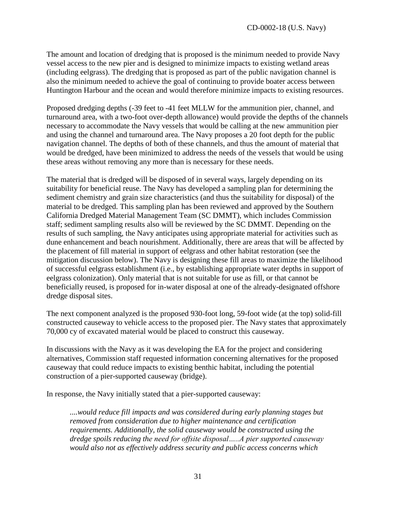The amount and location of dredging that is proposed is the minimum needed to provide Navy vessel access to the new pier and is designed to minimize impacts to existing wetland areas (including eelgrass). The dredging that is proposed as part of the public navigation channel is also the minimum needed to achieve the goal of continuing to provide boater access between Huntington Harbour and the ocean and would therefore minimize impacts to existing resources.

Proposed dredging depths (-39 feet to -41 feet MLLW for the ammunition pier, channel, and turnaround area, with a two-foot over-depth allowance) would provide the depths of the channels necessary to accommodate the Navy vessels that would be calling at the new ammunition pier and using the channel and turnaround area. The Navy proposes a 20 foot depth for the public navigation channel. The depths of both of these channels, and thus the amount of material that would be dredged, have been minimized to address the needs of the vessels that would be using these areas without removing any more than is necessary for these needs.

The material that is dredged will be disposed of in several ways, largely depending on its suitability for beneficial reuse. The Navy has developed a sampling plan for determining the sediment chemistry and grain size characteristics (and thus the suitability for disposal) of the material to be dredged. This sampling plan has been reviewed and approved by the Southern California Dredged Material Management Team (SC DMMT), which includes Commission staff; sediment sampling results also will be reviewed by the SC DMMT. Depending on the results of such sampling, the Navy anticipates using appropriate material for activities such as dune enhancement and beach nourishment. Additionally, there are areas that will be affected by the placement of fill material in support of eelgrass and other habitat restoration (see the mitigation discussion below). The Navy is designing these fill areas to maximize the likelihood of successful eelgrass establishment (i.e., by establishing appropriate water depths in support of eelgrass colonization). Only material that is not suitable for use as fill, or that cannot be beneficially reused, is proposed for in-water disposal at one of the already-designated offshore dredge disposal sites.

The next component analyzed is the proposed 930-foot long, 59-foot wide (at the top) solid-fill constructed causeway to vehicle access to the proposed pier. The Navy states that approximately 70,000 cy of excavated material would be placed to construct this causeway.

In discussions with the Navy as it was developing the EA for the project and considering alternatives, Commission staff requested information concerning alternatives for the proposed causeway that could reduce impacts to existing benthic habitat, including the potential construction of a pier-supported causeway (bridge).

In response, the Navy initially stated that a pier-supported causeway:

*....would reduce fill impacts and was considered during early planning stages but removed from consideration due to higher maintenance and certification requirements. Additionally, the solid causeway would be constructed using the dredge spoils reducing the need for offsite disposal…..A pier supported causeway would also not as effectively address security and public access concerns which*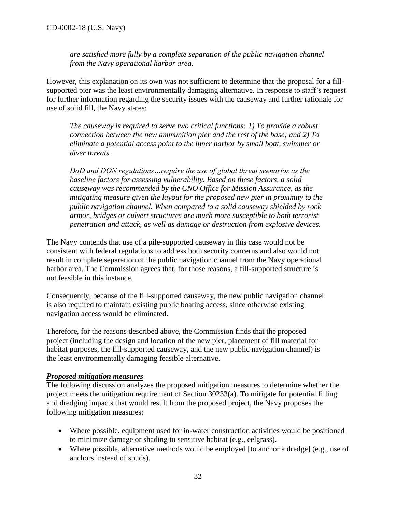*are satisfied more fully by a complete separation of the public navigation channel from the Navy operational harbor area.* 

However, this explanation on its own was not sufficient to determine that the proposal for a fillsupported pier was the least environmentally damaging alternative. In response to staff's request for further information regarding the security issues with the causeway and further rationale for use of solid fill, the Navy states:

*The causeway is required to serve two critical functions: 1) To provide a robust connection between the new ammunition pier and the rest of the base; and 2) To eliminate a potential access point to the inner harbor by small boat, swimmer or diver threats.* 

*DoD and DON regulations…require the use of global threat scenarios as the baseline factors for assessing vulnerability. Based on these factors, a solid causeway was recommended by the CNO Office for Mission Assurance, as the mitigating measure given the layout for the proposed new pier in proximity to the public navigation channel. When compared to a solid causeway shielded by rock armor, bridges or culvert structures are much more susceptible to both terrorist penetration and attack, as well as damage or destruction from explosive devices.*

The Navy contends that use of a pile-supported causeway in this case would not be consistent with federal regulations to address both security concerns and also would not result in complete separation of the public navigation channel from the Navy operational harbor area. The Commission agrees that, for those reasons, a fill-supported structure is not feasible in this instance.

Consequently, because of the fill-supported causeway, the new public navigation channel is also required to maintain existing public boating access, since otherwise existing navigation access would be eliminated.

Therefore, for the reasons described above, the Commission finds that the proposed project (including the design and location of the new pier, placement of fill material for habitat purposes, the fill-supported causeway, and the new public navigation channel) is the least environmentally damaging feasible alternative.

#### *Proposed mitigation measures*

The following discussion analyzes the proposed mitigation measures to determine whether the project meets the mitigation requirement of Section 30233(a). To mitigate for potential filling and dredging impacts that would result from the proposed project, the Navy proposes the following mitigation measures:

- Where possible, equipment used for in-water construction activities would be positioned to minimize damage or shading to sensitive habitat (e.g., eelgrass).
- Where possible, alternative methods would be employed [to anchor a dredge] (e.g., use of anchors instead of spuds).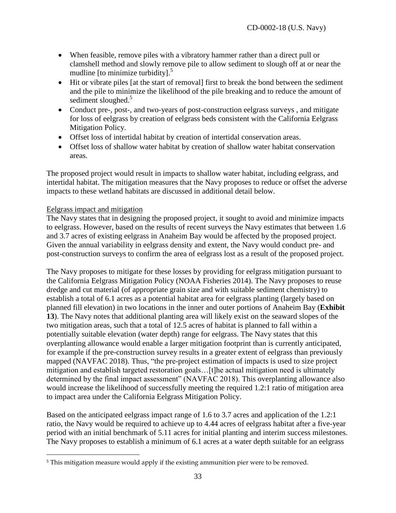- When feasible, remove piles with a vibratory hammer rather than a direct pull or clamshell method and slowly remove pile to allow sediment to slough off at or near the mudline [to minimize turbidity].<sup>5</sup>
- Hit or vibrate piles [at the start of removal] first to break the bond between the sediment and the pile to minimize the likelihood of the pile breaking and to reduce the amount of sediment sloughed.<sup>5</sup>
- Conduct pre-, post-, and two-years of post-construction eelgrass surveys , and mitigate for loss of eelgrass by creation of eelgrass beds consistent with the California Eelgrass Mitigation Policy.
- Offset loss of intertidal habitat by creation of intertidal conservation areas.
- Offset loss of shallow water habitat by creation of shallow water habitat conservation areas.

The proposed project would result in impacts to shallow water habitat, including eelgrass, and intertidal habitat. The mitigation measures that the Navy proposes to reduce or offset the adverse impacts to these wetland habitats are discussed in additional detail below.

#### Eelgrass impact and mitigation

 $\overline{a}$ 

The Navy states that in designing the proposed project, it sought to avoid and minimize impacts to eelgrass. However, based on the results of recent surveys the Navy estimates that between 1.6 and 3.7 acres of existing eelgrass in Anaheim Bay would be affected by the proposed project. Given the annual variability in eelgrass density and extent, the Navy would conduct pre- and post-construction surveys to confirm the area of eelgrass lost as a result of the proposed project.

The Navy proposes to mitigate for these losses by providing for eelgrass mitigation pursuant to the California Eelgrass Mitigation Policy (NOAA Fisheries 2014). The Navy proposes to reuse dredge and cut material (of appropriate grain size and with suitable sediment chemistry) to establish a total of 6.1 acres as a potential habitat area for eelgrass planting (largely based on planned fill elevation) in two locations in the inner and outer portions of Anaheim Bay (**Exhibit 13**). The Navy notes that additional planting area will likely exist on the seaward slopes of the two mitigation areas, such that a total of 12.5 acres of habitat is planned to fall within a potentially suitable elevation (water depth) range for eelgrass. The Navy states that this overplanting allowance would enable a larger mitigation footprint than is currently anticipated, for example if the pre-construction survey results in a greater extent of eelgrass than previously mapped (NAVFAC 2018). Thus, "the pre-project estimation of impacts is used to size project mitigation and establish targeted restoration goals…[t]he actual mitigation need is ultimately determined by the final impact assessment" (NAVFAC 2018). This overplanting allowance also would increase the likelihood of successfully meeting the required 1.2:1 ratio of mitigation area to impact area under the California Eelgrass Mitigation Policy.

Based on the anticipated eelgrass impact range of 1.6 to 3.7 acres and application of the 1.2:1 ratio, the Navy would be required to achieve up to 4.44 acres of eelgrass habitat after a five-year period with an initial benchmark of 5.11 acres for initial planting and interim success milestones. The Navy proposes to establish a minimum of 6.1 acres at a water depth suitable for an eelgrass

<sup>&</sup>lt;sup>5</sup> This mitigation measure would apply if the existing ammunition pier were to be removed.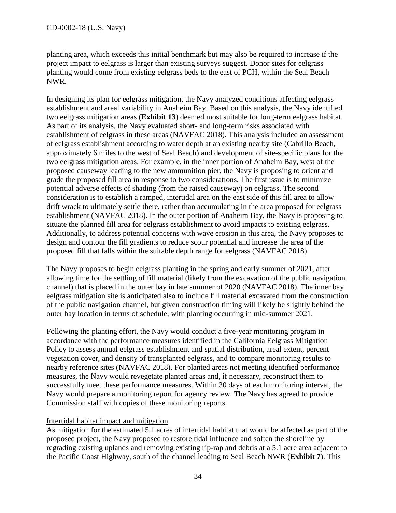planting area, which exceeds this initial benchmark but may also be required to increase if the project impact to eelgrass is larger than existing surveys suggest. Donor sites for eelgrass planting would come from existing eelgrass beds to the east of PCH, within the Seal Beach NWR.

In designing its plan for eelgrass mitigation, the Navy analyzed conditions affecting eelgrass establishment and areal variability in Anaheim Bay. Based on this analysis, the Navy identified two eelgrass mitigation areas (**Exhibit 13**) deemed most suitable for long-term eelgrass habitat. As part of its analysis, the Navy evaluated short- and long-term risks associated with establishment of eelgrass in these areas (NAVFAC 2018). This analysis included an assessment of eelgrass establishment according to water depth at an existing nearby site (Cabrillo Beach, approximately 6 miles to the west of Seal Beach) and development of site-specific plans for the two eelgrass mitigation areas. For example, in the inner portion of Anaheim Bay, west of the proposed causeway leading to the new ammunition pier, the Navy is proposing to orient and grade the proposed fill area in response to two considerations. The first issue is to minimize potential adverse effects of shading (from the raised causeway) on eelgrass. The second consideration is to establish a ramped, intertidal area on the east side of this fill area to allow drift wrack to ultimately settle there, rather than accumulating in the area proposed for eelgrass establishment (NAVFAC 2018). In the outer portion of Anaheim Bay, the Navy is proposing to situate the planned fill area for eelgrass establishment to avoid impacts to existing eelgrass. Additionally, to address potential concerns with wave erosion in this area, the Navy proposes to design and contour the fill gradients to reduce scour potential and increase the area of the proposed fill that falls within the suitable depth range for eelgrass (NAVFAC 2018).

The Navy proposes to begin eelgrass planting in the spring and early summer of 2021, after allowing time for the settling of fill material (likely from the excavation of the public navigation channel) that is placed in the outer bay in late summer of 2020 (NAVFAC 2018). The inner bay eelgrass mitigation site is anticipated also to include fill material excavated from the construction of the public navigation channel, but given construction timing will likely be slightly behind the outer bay location in terms of schedule, with planting occurring in mid-summer 2021.

Following the planting effort, the Navy would conduct a five-year monitoring program in accordance with the performance measures identified in the California Eelgrass Mitigation Policy to assess annual eelgrass establishment and spatial distribution, areal extent, percent vegetation cover, and density of transplanted eelgrass, and to compare monitoring results to nearby reference sites (NAVFAC 2018). For planted areas not meeting identified performance measures, the Navy would revegetate planted areas and, if necessary, reconstruct them to successfully meet these performance measures. Within 30 days of each monitoring interval, the Navy would prepare a monitoring report for agency review. The Navy has agreed to provide Commission staff with copies of these monitoring reports.

# Intertidal habitat impact and mitigation

As mitigation for the estimated 5.1 acres of intertidal habitat that would be affected as part of the proposed project, the Navy proposed to restore tidal influence and soften the shoreline by regrading existing uplands and removing existing rip-rap and debris at a 5.1 acre area adjacent to the Pacific Coast Highway, south of the channel leading to Seal Beach NWR (**Exhibit 7**). This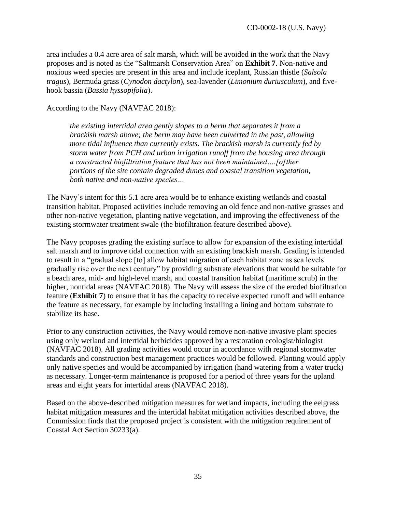area includes a 0.4 acre area of salt marsh, which will be avoided in the work that the Navy proposes and is noted as the "Saltmarsh Conservation Area" on **Exhibit 7**. Non-native and noxious weed species are present in this area and include iceplant, Russian thistle (*Salsola tragus*), Bermuda grass (*Cynodon dactylon*), sea-lavender (*Limonium duriusculum*), and fivehook bassia (*Bassia hyssopifolia*).

According to the Navy (NAVFAC 2018):

*the existing intertidal area gently slopes to a berm that separates it from a brackish marsh above; the berm may have been culverted in the past, allowing more tidal influence than currently exists. The brackish marsh is currently fed by storm water from PCH and urban irrigation runoff from the housing area through a constructed biofiltration feature that has not been maintained….[o]ther portions of the site contain degraded dunes and coastal transition vegetation, both native and non-native species…* 

The Navy's intent for this 5.1 acre area would be to enhance existing wetlands and coastal transition habitat. Proposed activities include removing an old fence and non-native grasses and other non-native vegetation, planting native vegetation, and improving the effectiveness of the existing stormwater treatment swale (the biofiltration feature described above).

The Navy proposes grading the existing surface to allow for expansion of the existing intertidal salt marsh and to improve tidal connection with an existing brackish marsh. Grading is intended to result in a "gradual slope [to] allow habitat migration of each habitat zone as sea levels gradually rise over the next century" by providing substrate elevations that would be suitable for a beach area, mid- and high-level marsh, and coastal transition habitat (maritime scrub) in the higher, nontidal areas (NAVFAC 2018). The Navy will assess the size of the eroded biofiltration feature (**Exhibit 7**) to ensure that it has the capacity to receive expected runoff and will enhance the feature as necessary, for example by including installing a lining and bottom substrate to stabilize its base.

Prior to any construction activities, the Navy would remove non-native invasive plant species using only wetland and intertidal herbicides approved by a restoration ecologist/biologist (NAVFAC 2018). All grading activities would occur in accordance with regional stormwater standards and construction best management practices would be followed. Planting would apply only native species and would be accompanied by irrigation (hand watering from a water truck) as necessary. Longer-term maintenance is proposed for a period of three years for the upland areas and eight years for intertidal areas (NAVFAC 2018).

Based on the above-described mitigation measures for wetland impacts, including the eelgrass habitat mitigation measures and the intertidal habitat mitigation activities described above, the Commission finds that the proposed project is consistent with the mitigation requirement of Coastal Act Section 30233(a).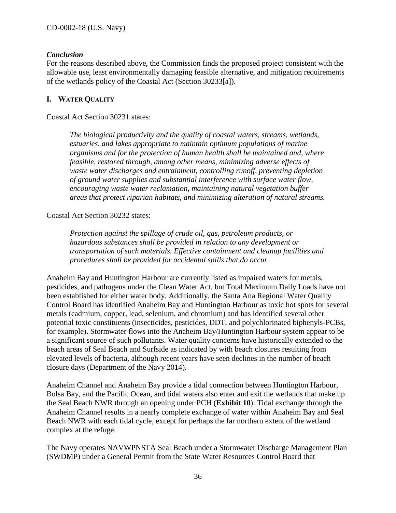#### *Conclusion*

For the reasons described above, the Commission finds the proposed project consistent with the allowable use, least environmentally damaging feasible alternative, and mitigation requirements of the wetlands policy of the Coastal Act (Section 30233[a]).

#### <span id="page-35-0"></span>**I. WATER QUALITY**

Coastal Act Section 30231 states:

*The biological productivity and the quality of coastal waters, streams, wetlands, estuaries, and lakes appropriate to maintain optimum populations of marine organisms and for the protection of human health shall be maintained and, where feasible, restored through, among other means, minimizing adverse effects of waste water discharges and entrainment, controlling runoff, preventing depletion of ground water supplies and substantial interference with surface water flow, encouraging waste water reclamation, maintaining natural vegetation buffer areas that protect riparian habitats, and minimizing alteration of natural streams.*

#### Coastal Act Section 30232 states:

*Protection against the spillage of crude oil, gas, petroleum products, or hazardous substances shall be provided in relation to any development or transportation of such materials. Effective containment and cleanup facilities and procedures shall be provided for accidental spills that do occur.*

Anaheim Bay and Huntington Harbour are currently listed as impaired waters for metals, pesticides, and pathogens under the Clean Water Act, but Total Maximum Daily Loads have not been established for either water body. Additionally, the Santa Ana Regional Water Quality Control Board has identified Anaheim Bay and Huntington Harbour as toxic hot spots for several metals (cadmium, copper, lead, selenium, and chromium) and has identified several other potential toxic constituents (insecticides, pesticides, DDT, and polychlorinated biphenyls-PCBs, for example). Stormwater flows into the Anaheim Bay/Huntington Harbour system appear to be a significant source of such pollutants. Water quality concerns have historically extended to the beach areas of Seal Beach and Surfside as indicated by with beach closures resulting from elevated levels of bacteria, although recent years have seen declines in the number of beach closure days (Department of the Navy 2014).

Anaheim Channel and Anaheim Bay provide a tidal connection between Huntington Harbour, Bolsa Bay, and the Pacific Ocean, and tidal waters also enter and exit the wetlands that make up the Seal Beach NWR through an opening under PCH (**Exhibit 10**). Tidal exchange through the Anaheim Channel results in a nearly complete exchange of water within Anaheim Bay and Seal Beach NWR with each tidal cycle, except for perhaps the far northern extent of the wetland complex at the refuge.

The Navy operates NAVWPNSTA Seal Beach under a Stormwater Discharge Management Plan (SWDMP) under a General Permit from the State Water Resources Control Board that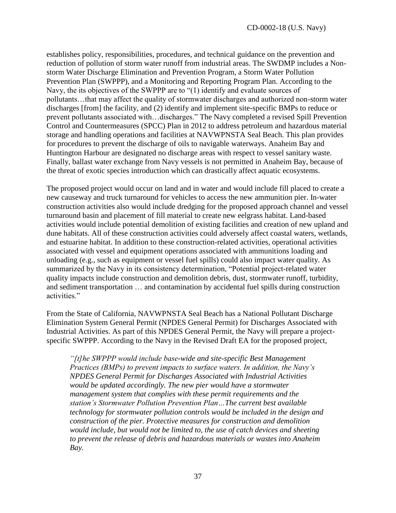establishes policy, responsibilities, procedures, and technical guidance on the prevention and reduction of pollution of storm water runoff from industrial areas. The SWDMP includes a Nonstorm Water Discharge Elimination and Prevention Program, a Storm Water Pollution Prevention Plan (SWPPP), and a Monitoring and Reporting Program Plan. According to the Navy, the its objectives of the SWPPP are to "(1) identify and evaluate sources of pollutants…that may affect the quality of stormwater discharges and authorized non-storm water discharges [from] the facility, and (2) identify and implement site-specific BMPs to reduce or prevent pollutants associated with…discharges." The Navy completed a revised Spill Prevention Control and Countermeasures (SPCC) Plan in 2012 to address petroleum and hazardous material storage and handling operations and facilities at NAVWPNSTA Seal Beach. This plan provides for procedures to prevent the discharge of oils to navigable waterways. Anaheim Bay and Huntington Harbour are designated no discharge areas with respect to vessel sanitary waste. Finally, ballast water exchange from Navy vessels is not permitted in Anaheim Bay, because of the threat of exotic species introduction which can drastically affect aquatic ecosystems.

The proposed project would occur on land and in water and would include fill placed to create a new causeway and truck turnaround for vehicles to access the new ammunition pier. In-water construction activities also would include dredging for the proposed approach channel and vessel turnaround basin and placement of fill material to create new eelgrass habitat. Land-based activities would include potential demolition of existing facilities and creation of new upland and dune habitats. All of these construction activities could adversely affect coastal waters, wetlands, and estuarine habitat. In addition to these construction-related activities, operational activities associated with vessel and equipment operations associated with ammunitions loading and unloading (e.g., such as equipment or vessel fuel spills) could also impact water quality. As summarized by the Navy in its consistency determination, "Potential project-related water quality impacts include construction and demolition debris, dust, stormwater runoff, turbidity, and sediment transportation … and contamination by accidental fuel spills during construction activities."

From the State of California, NAVWPNSTA Seal Beach has a National Pollutant Discharge Elimination System General Permit (NPDES General Permit) for Discharges Associated with Industrial Activities. As part of this NPDES General Permit, the Navy will prepare a projectspecific SWPPP. According to the Navy in the Revised Draft EA for the proposed project,

*"[t]he SWPPP would include base-wide and site-specific Best Management Practices (BMPs) to prevent impacts to surface waters. In addition, the Navy's NPDES General Permit for Discharges Associated with Industrial Activities would be updated accordingly. The new pier would have a stormwater management system that complies with these permit requirements and the station's Stormwater Pollution Prevention Plan…The current best available technology for stormwater pollution controls would be included in the design and construction of the pier. Protective measures for construction and demolition would include, but would not be limited to, the use of catch devices and sheeting to prevent the release of debris and hazardous materials or wastes into Anaheim Bay.*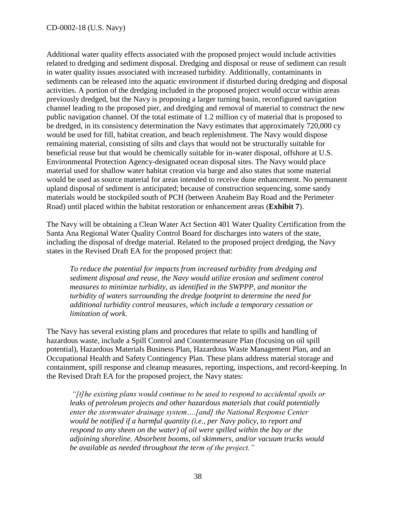Additional water quality effects associated with the proposed project would include activities related to dredging and sediment disposal. Dredging and disposal or reuse of sediment can result in water quality issues associated with increased turbidity. Additionally, contaminants in sediments can be released into the aquatic environment if disturbed during dredging and disposal activities. A portion of the dredging included in the proposed project would occur within areas previously dredged, but the Navy is proposing a larger turning basin, reconfigured navigation channel leading to the proposed pier, and dredging and removal of material to construct the new public navigation channel. Of the total estimate of 1.2 million cy of material that is proposed to be dredged, in its consistency determination the Navy estimates that approximately 720,000 cy would be used for fill, habitat creation, and beach replenishment. The Navy would dispose remaining material, consisting of silts and clays that would not be structurally suitable for beneficial reuse but that would be chemically suitable for in-water disposal, offshore at U.S. Environmental Protection Agency-designated ocean disposal sites. The Navy would place material used for shallow water habitat creation via barge and also states that some material would be used as source material for areas intended to receive dune enhancement. No permanent upland disposal of sediment is anticipated; because of construction sequencing, some sandy materials would be stockpiled south of PCH (between Anaheim Bay Road and the Perimeter Road) until placed within the habitat restoration or enhancement areas (**Exhibit 7**).

The Navy will be obtaining a Clean Water Act Section 401 Water Quality Certification from the Santa Ana Regional Water Quality Control Board for discharges into waters of the state, including the disposal of dredge material. Related to the proposed project dredging, the Navy states in the Revised Draft EA for the proposed project that:

*To reduce the potential for impacts from increased turbidity from dredging and sediment disposal and reuse, the Navy would utilize erosion and sediment control measures to minimize turbidity, as identified in the SWPPP, and monitor the turbidity of waters surrounding the dredge footprint to determine the need for additional turbidity control measures, which include a temporary cessation or limitation of work.* 

The Navy has several existing plans and procedures that relate to spills and handling of hazardous waste, include a Spill Control and Countermeasure Plan (focusing on oil spill potential), Hazardous Materials Business Plan, Hazardous Waste Management Plan, and an Occupational Health and Safety Contingency Plan. These plans address material storage and containment, spill response and cleanup measures, reporting, inspections, and record-keeping. In the Revised Draft EA for the proposed project, the Navy states:

*"[t]he existing plans would continue to be used to respond to accidental spoils or leaks of petroleum projects and other hazardous materials that could potentially enter the stormwater drainage system….[and] the National Response Center would be notified if a harmful quantity (i.e., per Navy policy, to report and respond to any sheen on the water) of oil were spilled within the bay or the adjoining shoreline. Absorbent booms, oil skimmers, and/or vacuum trucks would be available as needed throughout the term of the project."*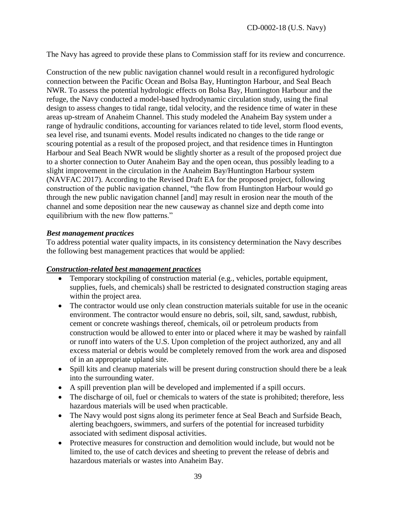The Navy has agreed to provide these plans to Commission staff for its review and concurrence.

Construction of the new public navigation channel would result in a reconfigured hydrologic connection between the Pacific Ocean and Bolsa Bay, Huntington Harbour, and Seal Beach NWR. To assess the potential hydrologic effects on Bolsa Bay, Huntington Harbour and the refuge, the Navy conducted a model-based hydrodynamic circulation study, using the final design to assess changes to tidal range, tidal velocity, and the residence time of water in these areas up-stream of Anaheim Channel. This study modeled the Anaheim Bay system under a range of hydraulic conditions, accounting for variances related to tide level, storm flood events, sea level rise, and tsunami events. Model results indicated no changes to the tide range or scouring potential as a result of the proposed project, and that residence times in Huntington Harbour and Seal Beach NWR would be slightly shorter as a result of the proposed project due to a shorter connection to Outer Anaheim Bay and the open ocean, thus possibly leading to a slight improvement in the circulation in the Anaheim Bay/Huntington Harbour system (NAVFAC 2017). According to the Revised Draft EA for the proposed project, following construction of the public navigation channel, "the flow from Huntington Harbour would go through the new public navigation channel [and] may result in erosion near the mouth of the channel and some deposition near the new causeway as channel size and depth come into equilibrium with the new flow patterns."

#### *Best management practices*

To address potential water quality impacts, in its consistency determination the Navy describes the following best management practices that would be applied:

#### *Construction-related best management practices*

- Temporary stockpiling of construction material (e.g., vehicles, portable equipment, supplies, fuels, and chemicals) shall be restricted to designated construction staging areas within the project area.
- The contractor would use only clean construction materials suitable for use in the oceanic environment. The contractor would ensure no debris, soil, silt, sand, sawdust, rubbish, cement or concrete washings thereof, chemicals, oil or petroleum products from construction would be allowed to enter into or placed where it may be washed by rainfall or runoff into waters of the U.S. Upon completion of the project authorized, any and all excess material or debris would be completely removed from the work area and disposed of in an appropriate upland site.
- Spill kits and cleanup materials will be present during construction should there be a leak into the surrounding water.
- A spill prevention plan will be developed and implemented if a spill occurs.
- The discharge of oil, fuel or chemicals to waters of the state is prohibited; therefore, less hazardous materials will be used when practicable.
- The Navy would post signs along its perimeter fence at Seal Beach and Surfside Beach, alerting beachgoers, swimmers, and surfers of the potential for increased turbidity associated with sediment disposal activities.
- Protective measures for construction and demolition would include, but would not be limited to, the use of catch devices and sheeting to prevent the release of debris and hazardous materials or wastes into Anaheim Bay.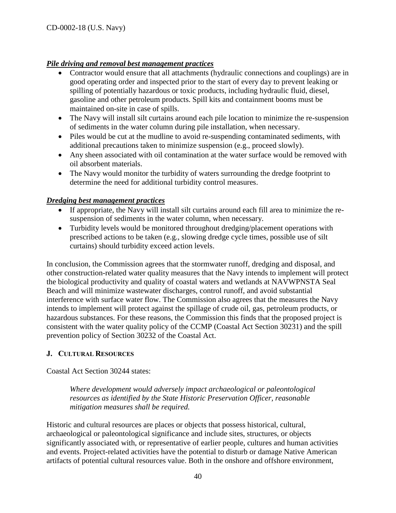# *Pile driving and removal best management practices*

- Contractor would ensure that all attachments (hydraulic connections and couplings) are in good operating order and inspected prior to the start of every day to prevent leaking or spilling of potentially hazardous or toxic products, including hydraulic fluid, diesel, gasoline and other petroleum products. Spill kits and containment booms must be maintained on-site in case of spills.
- The Navy will install silt curtains around each pile location to minimize the re-suspension of sediments in the water column during pile installation, when necessary.
- Piles would be cut at the mudline to avoid re-suspending contaminated sediments, with additional precautions taken to minimize suspension (e.g., proceed slowly).
- Any sheen associated with oil contamination at the water surface would be removed with oil absorbent materials.
- The Navy would monitor the turbidity of waters surrounding the dredge footprint to determine the need for additional turbidity control measures.

# *Dredging best management practices*

- If appropriate, the Navy will install silt curtains around each fill area to minimize the resuspension of sediments in the water column, when necessary.
- Turbidity levels would be monitored throughout dredging/placement operations with prescribed actions to be taken (e.g., slowing dredge cycle times, possible use of silt curtains) should turbidity exceed action levels.

In conclusion, the Commission agrees that the stormwater runoff, dredging and disposal, and other construction-related water quality measures that the Navy intends to implement will protect the biological productivity and quality of coastal waters and wetlands at NAVWPNSTA Seal Beach and will minimize wastewater discharges, control runoff, and avoid substantial interference with surface water flow. The Commission also agrees that the measures the Navy intends to implement will protect against the spillage of crude oil, gas, petroleum products, or hazardous substances. For these reasons, the Commission this finds that the proposed project is consistent with the water quality policy of the CCMP (Coastal Act Section 30231) and the spill prevention policy of Section 30232 of the Coastal Act.

# <span id="page-39-0"></span>**J. CULTURAL RESOURCES**

Coastal Act Section 30244 states:

*Where development would adversely impact archaeological or paleontological resources as identified by the State Historic Preservation Officer, reasonable mitigation measures shall be required.*

Historic and cultural resources are places or objects that possess historical, cultural, archaeological or paleontological significance and include sites, structures, or objects significantly associated with, or representative of earlier people, cultures and human activities and events. Project-related activities have the potential to disturb or damage Native American artifacts of potential cultural resources value. Both in the onshore and offshore environment,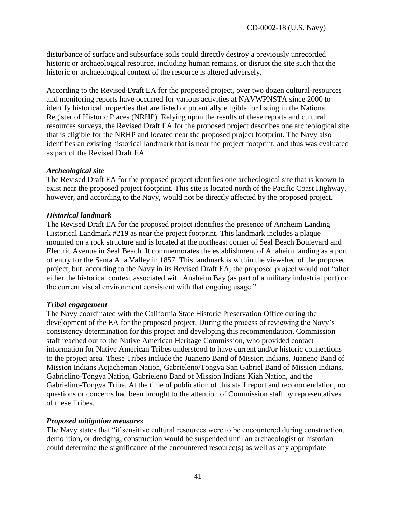disturbance of surface and subsurface soils could directly destroy a previously unrecorded historic or archaeological resource, including human remains, or disrupt the site such that the historic or archaeological context of the resource is altered adversely.

According to the Revised Draft EA for the proposed project, over two dozen cultural-resources and monitoring reports have occurred for various activities at NAVWPNSTA since 2000 to identify historical properties that are listed or potentially eligible for listing in the National Register of Historic Places (NRHP). Relying upon the results of these reports and cultural resources surveys, the Revised Draft EA for the proposed project describes one archeological site that is eligible for the NRHP and located near the proposed project footprint. The Navy also identifies an existing historical landmark that is near the project footprint, and thus was evaluated as part of the Revised Draft EA.

#### *Archeological site*

The Revised Draft EA for the proposed project identifies one archeological site that is known to exist near the proposed project footprint. This site is located north of the Pacific Coast Highway, however, and according to the Navy, would not be directly affected by the proposed project.

#### *Historical landmark*

The Revised Draft EA for the proposed project identifies the presence of Anaheim Landing Historical Landmark #219 as near the project footprint. This landmark includes a plaque mounted on a rock structure and is located at the northeast corner of Seal Beach Boulevard and Electric Avenue in Seal Beach. It commemorates the establishment of Anaheim landing as a port of entry for the Santa Ana Valley in 1857. This landmark is within the viewshed of the proposed project, but, according to the Navy in its Revised Draft EA, the proposed project would not "alter either the historical context associated with Anaheim Bay (as part of a military industrial port) or the current visual environment consistent with that ongoing usage."

#### *Tribal engagement*

The Navy coordinated with the California State Historic Preservation Office during the development of the EA for the proposed project. During the process of reviewing the Navy's consistency determination for this project and developing this recommendation, Commission staff reached out to the Native American Heritage Commission, who provided contact information for Native American Tribes understood to have current and/or historic connections to the project area. These Tribes include the Juaneno Band of Mission Indians, Juaneno Band of Mission Indians Acjacheman Nation, Gabrieleno/Tongva San Gabriel Band of Mission Indians, Gabrielino-Tongva Nation, Gabrieleno Band of Mission Indians Kizh Nation, and the Gabrielino-Tongva Tribe. At the time of publication of this staff report and recommendation, no questions or concerns had been brought to the attention of Commission staff by representatives of these Tribes.

#### *Proposed mitigation measures*

The Navy states that "if sensitive cultural resources were to be encountered during construction, demolition, or dredging, construction would be suspended until an archaeologist or historian could determine the significance of the encountered resource(s) as well as any appropriate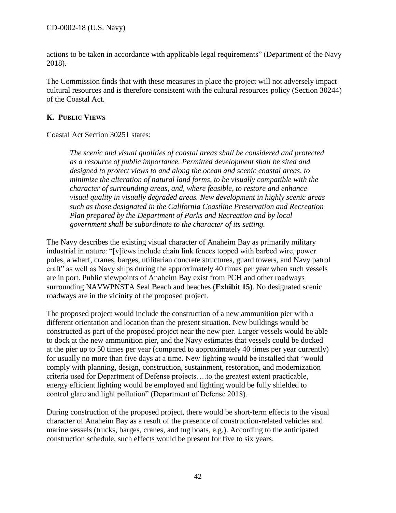actions to be taken in accordance with applicable legal requirements" (Department of the Navy 2018).

The Commission finds that with these measures in place the project will not adversely impact cultural resources and is therefore consistent with the cultural resources policy (Section 30244) of the Coastal Act.

# <span id="page-41-0"></span>**K. PUBLIC VIEWS**

Coastal Act Section 30251 states:

*The scenic and visual qualities of coastal areas shall be considered and protected as a resource of public importance. Permitted development shall be sited and designed to protect views to and along the ocean and scenic coastal areas, to minimize the alteration of natural land forms, to be visually compatible with the character of surrounding areas, and, where feasible, to restore and enhance visual quality in visually degraded areas. New development in highly scenic areas such as those designated in the California Coastline Preservation and Recreation Plan prepared by the Department of Parks and Recreation and by local government shall be subordinate to the character of its setting.*

The Navy describes the existing visual character of Anaheim Bay as primarily military industrial in nature: "[v]iews include chain link fences topped with barbed wire, power poles, a wharf, cranes, barges, utilitarian concrete structures, guard towers, and Navy patrol craft" as well as Navy ships during the approximately 40 times per year when such vessels are in port. Public viewpoints of Anaheim Bay exist from PCH and other roadways surrounding NAVWPNSTA Seal Beach and beaches (**Exhibit 15**). No designated scenic roadways are in the vicinity of the proposed project.

The proposed project would include the construction of a new ammunition pier with a different orientation and location than the present situation. New buildings would be constructed as part of the proposed project near the new pier. Larger vessels would be able to dock at the new ammunition pier, and the Navy estimates that vessels could be docked at the pier up to 50 times per year (compared to approximately 40 times per year currently) for usually no more than five days at a time. New lighting would be installed that "would comply with planning, design, construction, sustainment, restoration, and modernization criteria used for Department of Defense projects….to the greatest extent practicable, energy efficient lighting would be employed and lighting would be fully shielded to control glare and light pollution" (Department of Defense 2018).

During construction of the proposed project, there would be short-term effects to the visual character of Anaheim Bay as a result of the presence of construction-related vehicles and marine vessels (trucks, barges, cranes, and tug boats, e.g.). According to the anticipated construction schedule, such effects would be present for five to six years.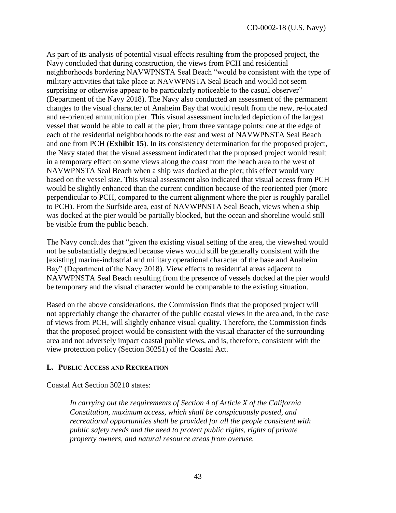As part of its analysis of potential visual effects resulting from the proposed project, the Navy concluded that during construction, the views from PCH and residential neighborhoods bordering NAVWPNSTA Seal Beach "would be consistent with the type of military activities that take place at NAVWPNSTA Seal Beach and would not seem surprising or otherwise appear to be particularly noticeable to the casual observer" (Department of the Navy 2018). The Navy also conducted an assessment of the permanent changes to the visual character of Anaheim Bay that would result from the new, re-located and re-oriented ammunition pier. This visual assessment included depiction of the largest vessel that would be able to call at the pier, from three vantage points: one at the edge of each of the residential neighborhoods to the east and west of NAVWPNSTA Seal Beach and one from PCH (**Exhibit 15**). In its consistency determination for the proposed project, the Navy stated that the visual assessment indicated that the proposed project would result in a temporary effect on some views along the coast from the beach area to the west of NAVWPNSTA Seal Beach when a ship was docked at the pier; this effect would vary based on the vessel size. This visual assessment also indicated that visual access from PCH would be slightly enhanced than the current condition because of the reoriented pier (more perpendicular to PCH, compared to the current alignment where the pier is roughly parallel to PCH). From the Surfside area, east of NAVWPNSTA Seal Beach, views when a ship was docked at the pier would be partially blocked, but the ocean and shoreline would still be visible from the public beach.

The Navy concludes that "given the existing visual setting of the area, the viewshed would not be substantially degraded because views would still be generally consistent with the [existing] marine-industrial and military operational character of the base and Anaheim Bay" (Department of the Navy 2018). View effects to residential areas adjacent to NAVWPNSTA Seal Beach resulting from the presence of vessels docked at the pier would be temporary and the visual character would be comparable to the existing situation.

Based on the above considerations, the Commission finds that the proposed project will not appreciably change the character of the public coastal views in the area and, in the case of views from PCH, will slightly enhance visual quality. Therefore, the Commission finds that the proposed project would be consistent with the visual character of the surrounding area and not adversely impact coastal public views, and is, therefore, consistent with the view protection policy (Section 30251) of the Coastal Act.

# <span id="page-42-0"></span>**L. PUBLIC ACCESS AND RECREATION**

Coastal Act Section 30210 states:

*In carrying out the requirements of Section 4 of Article X of the California Constitution, maximum access, which shall be conspicuously posted, and recreational opportunities shall be provided for all the people consistent with public safety needs and the need to protect public rights, rights of private property owners, and natural resource areas from overuse.*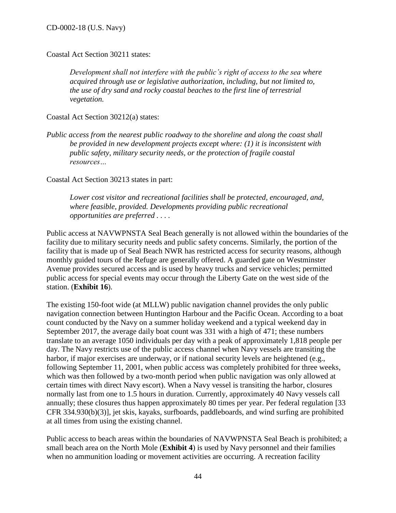Coastal Act Section 30211 states:

*Development shall not interfere with the public's right of access to the sea where acquired through use or legislative authorization, including, but not limited to, the use of dry sand and rocky coastal beaches to the first line of terrestrial vegetation.* 

Coastal Act Section 30212(a) states:

*Public access from the nearest public roadway to the shoreline and along the coast shall be provided in new development projects except where: (1) it is inconsistent with public safety, military security needs, or the protection of fragile coastal resources…*

Coastal Act Section 30213 states in part:

*Lower cost visitor and recreational facilities shall be protected, encouraged, and, where feasible, provided. Developments providing public recreational opportunities are preferred . . . .*

Public access at NAVWPNSTA Seal Beach generally is not allowed within the boundaries of the facility due to military security needs and public safety concerns. Similarly, the portion of the facility that is made up of Seal Beach NWR has restricted access for security reasons, although monthly guided tours of the Refuge are generally offered. A guarded gate on Westminster Avenue provides secured access and is used by heavy trucks and service vehicles; permitted public access for special events may occur through the Liberty Gate on the west side of the station. (**Exhibit 16**).

The existing 150-foot wide (at MLLW) public navigation channel provides the only public navigation connection between Huntington Harbour and the Pacific Ocean. According to a boat count conducted by the Navy on a summer holiday weekend and a typical weekend day in September 2017, the average daily boat count was 331 with a high of 471; these numbers translate to an average 1050 individuals per day with a peak of approximately 1,818 people per day. The Navy restricts use of the public access channel when Navy vessels are transiting the harbor, if major exercises are underway, or if national security levels are heightened (e.g., following September 11, 2001, when public access was completely prohibited for three weeks, which was then followed by a two-month period when public navigation was only allowed at certain times with direct Navy escort). When a Navy vessel is transiting the harbor, closures normally last from one to 1.5 hours in duration. Currently, approximately 40 Navy vessels call annually; these closures thus happen approximately 80 times per year. Per federal regulation [33 CFR 334.930(b)(3)], jet skis, kayaks, surfboards, paddleboards, and wind surfing are prohibited at all times from using the existing channel.

Public access to beach areas within the boundaries of NAVWPNSTA Seal Beach is prohibited; a small beach area on the North Mole (**Exhibit 4**) is used by Navy personnel and their families when no ammunition loading or movement activities are occurring. A recreation facility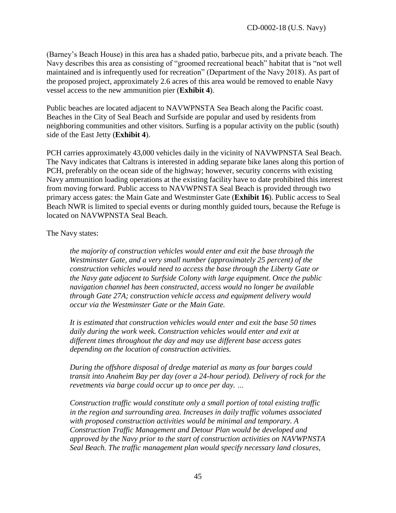(Barney's Beach House) in this area has a shaded patio, barbecue pits, and a private beach. The Navy describes this area as consisting of "groomed recreational beach" habitat that is "not well maintained and is infrequently used for recreation" (Department of the Navy 2018). As part of the proposed project, approximately 2.6 acres of this area would be removed to enable Navy vessel access to the new ammunition pier (**Exhibit 4**).

Public beaches are located adjacent to NAVWPNSTA Sea Beach along the Pacific coast. Beaches in the City of Seal Beach and Surfside are popular and used by residents from neighboring communities and other visitors. Surfing is a popular activity on the public (south) side of the East Jetty (**Exhibit 4**).

PCH carries approximately 43,000 vehicles daily in the vicinity of NAVWPNSTA Seal Beach. The Navy indicates that Caltrans is interested in adding separate bike lanes along this portion of PCH, preferably on the ocean side of the highway; however, security concerns with existing Navy ammunition loading operations at the existing facility have to date prohibited this interest from moving forward. Public access to NAVWPNSTA Seal Beach is provided through two primary access gates: the Main Gate and Westminster Gate (**Exhibit 16**). Public access to Seal Beach NWR is limited to special events or during monthly guided tours, because the Refuge is located on NAVWPNSTA Seal Beach.

The Navy states:

*the majority of construction vehicles would enter and exit the base through the Westminster Gate, and a very small number (approximately 25 percent) of the construction vehicles would need to access the base through the Liberty Gate or the Navy gate adjacent to Surfside Colony with large equipment. Once the public navigation channel has been constructed, access would no longer be available through Gate 27A; construction vehicle access and equipment delivery would occur via the Westminster Gate or the Main Gate.* 

*It is estimated that construction vehicles would enter and exit the base 50 times daily during the work week. Construction vehicles would enter and exit at different times throughout the day and may use different base access gates depending on the location of construction activities.* 

*During the offshore disposal of dredge material as many as four barges could transit into Anaheim Bay per day (over a 24-hour period). Delivery of rock for the revetments via barge could occur up to once per day. …*

*Construction traffic would constitute only a small portion of total existing traffic in the region and surrounding area. Increases in daily traffic volumes associated with proposed construction activities would be minimal and temporary. A Construction Traffic Management and Detour Plan would be developed and approved by the Navy prior to the start of construction activities on NAVWPNSTA Seal Beach. The traffic management plan would specify necessary land closures,*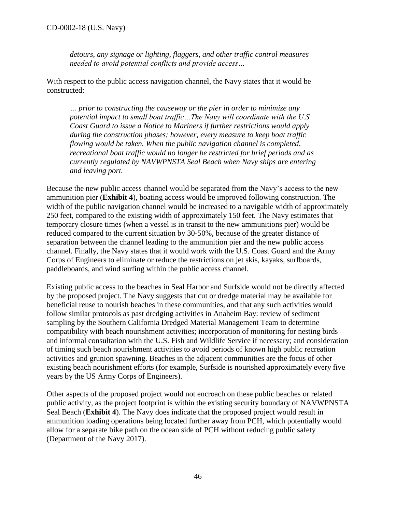*detours, any signage or lighting, flaggers, and other traffic control measures needed to avoid potential conflicts and provide access…*

With respect to the public access navigation channel, the Navy states that it would be constructed:

*… prior to constructing the causeway or the pier in order to minimize any potential impact to small boat traffic…The Navy will coordinate with the U.S. Coast Guard to issue a Notice to Mariners if further restrictions would apply during the construction phases; however, every measure to keep boat traffic flowing would be taken. When the public navigation channel is completed, recreational boat traffic would no longer be restricted for brief periods and as currently regulated by NAVWPNSTA Seal Beach when Navy ships are entering and leaving port.* 

Because the new public access channel would be separated from the Navy's access to the new ammunition pier (**Exhibit 4**), boating access would be improved following construction. The width of the public navigation channel would be increased to a navigable width of approximately 250 feet, compared to the existing width of approximately 150 feet. The Navy estimates that temporary closure times (when a vessel is in transit to the new ammunitions pier) would be reduced compared to the current situation by 30-50%, because of the greater distance of separation between the channel leading to the ammunition pier and the new public access channel. Finally, the Navy states that it would work with the U.S. Coast Guard and the Army Corps of Engineers to eliminate or reduce the restrictions on jet skis, kayaks, surfboards, paddleboards, and wind surfing within the public access channel.

Existing public access to the beaches in Seal Harbor and Surfside would not be directly affected by the proposed project. The Navy suggests that cut or dredge material may be available for beneficial reuse to nourish beaches in these communities, and that any such activities would follow similar protocols as past dredging activities in Anaheim Bay: review of sediment sampling by the Southern California Dredged Material Management Team to determine compatibility with beach nourishment activities; incorporation of monitoring for nesting birds and informal consultation with the U.S. Fish and Wildlife Service if necessary; and consideration of timing such beach nourishment activities to avoid periods of known high public recreation activities and grunion spawning. Beaches in the adjacent communities are the focus of other existing beach nourishment efforts (for example, Surfside is nourished approximately every five years by the US Army Corps of Engineers).

Other aspects of the proposed project would not encroach on these public beaches or related public activity, as the project footprint is within the existing security boundary of NAVWPNSTA Seal Beach (**Exhibit 4**). The Navy does indicate that the proposed project would result in ammunition loading operations being located further away from PCH, which potentially would allow for a separate bike path on the ocean side of PCH without reducing public safety (Department of the Navy 2017).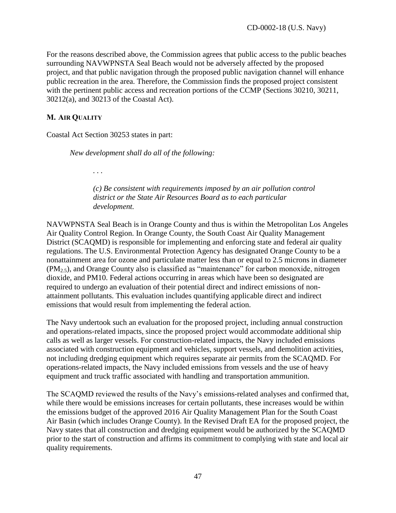For the reasons described above, the Commission agrees that public access to the public beaches surrounding NAVWPNSTA Seal Beach would not be adversely affected by the proposed project, and that public navigation through the proposed public navigation channel will enhance public recreation in the area. Therefore, the Commission finds the proposed project consistent with the pertinent public access and recreation portions of the CCMP (Sections 30210, 30211, 30212(a), and 30213 of the Coastal Act).

#### <span id="page-46-0"></span>**M. AIR QUALITY**

Coastal Act Section 30253 states in part:

*New development shall do all of the following:*

*. . .* 

*(c) Be consistent with requirements imposed by an air pollution control district or the State Air Resources Board as to each particular development.*

NAVWPNSTA Seal Beach is in Orange County and thus is within the Metropolitan Los Angeles Air Quality Control Region. In Orange County, the South Coast Air Quality Management District (SCAQMD) is responsible for implementing and enforcing state and federal air quality regulations. The U.S. Environmental Protection Agency has designated Orange County to be a nonattainment area for ozone and particulate matter less than or equal to 2.5 microns in diameter  $(PM<sub>2.5</sub>)$ , and Orange County also is classified as "maintenance" for carbon monoxide, nitrogen dioxide, and PM10. Federal actions occurring in areas which have been so designated are required to undergo an evaluation of their potential direct and indirect emissions of nonattainment pollutants. This evaluation includes quantifying applicable direct and indirect emissions that would result from implementing the federal action.

The Navy undertook such an evaluation for the proposed project, including annual construction and operations-related impacts, since the proposed project would accommodate additional ship calls as well as larger vessels. For construction-related impacts, the Navy included emissions associated with construction equipment and vehicles, support vessels, and demolition activities, not including dredging equipment which requires separate air permits from the SCAQMD. For operations-related impacts, the Navy included emissions from vessels and the use of heavy equipment and truck traffic associated with handling and transportation ammunition.

The SCAQMD reviewed the results of the Navy's emissions-related analyses and confirmed that, while there would be emissions increases for certain pollutants, these increases would be within the emissions budget of the approved 2016 Air Quality Management Plan for the South Coast Air Basin (which includes Orange County). In the Revised Draft EA for the proposed project, the Navy states that all construction and dredging equipment would be authorized by the SCAQMD prior to the start of construction and affirms its commitment to complying with state and local air quality requirements.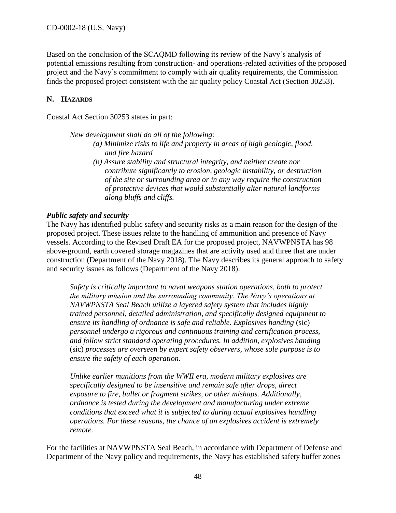Based on the conclusion of the SCAQMD following its review of the Navy's analysis of potential emissions resulting from construction- and operations-related activities of the proposed project and the Navy's commitment to comply with air quality requirements, the Commission finds the proposed project consistent with the air quality policy Coastal Act (Section 30253).

# <span id="page-47-0"></span>**N. HAZARDS**

Coastal Act Section 30253 states in part:

*New development shall do all of the following:* 

- *(a) Minimize risks to life and property in areas of high geologic, flood, and fire hazard*
- *(b) Assure stability and structural integrity, and neither create nor contribute significantly to erosion, geologic instability, or destruction of the site or surrounding area or in any way require the construction of protective devices that would substantially alter natural landforms along bluffs and cliffs.*

#### *Public safety and security*

The Navy has identified public safety and security risks as a main reason for the design of the proposed project. These issues relate to the handling of ammunition and presence of Navy vessels. According to the Revised Draft EA for the proposed project, NAVWPNSTA has 98 above-ground, earth covered storage magazines that are activity used and three that are under construction (Department of the Navy 2018). The Navy describes its general approach to safety and security issues as follows (Department of the Navy 2018):

*Safety is critically important to naval weapons station operations, both to protect the military mission and the surrounding community. The Navy's operations at NAVWPNSTA Seal Beach utilize a layered safety system that includes highly trained personnel, detailed administration, and specifically designed equipment to ensure its handling of ordnance is safe and reliable. Explosives handing* (sic) *personnel undergo a rigorous and continuous training and certification process, and follow strict standard operating procedures. In addition, explosives handing*  (sic) *processes are overseen by expert safety observers, whose sole purpose is to ensure the safety of each operation.* 

*Unlike earlier munitions from the WWII era, modern military explosives are specifically designed to be insensitive and remain safe after drops, direct exposure to fire, bullet or fragment strikes, or other mishaps. Additionally, ordnance is tested during the development and manufacturing under extreme conditions that exceed what it is subjected to during actual explosives handling operations. For these reasons, the chance of an explosives accident is extremely remote.* 

For the facilities at NAVWPNSTA Seal Beach, in accordance with Department of Defense and Department of the Navy policy and requirements, the Navy has established safety buffer zones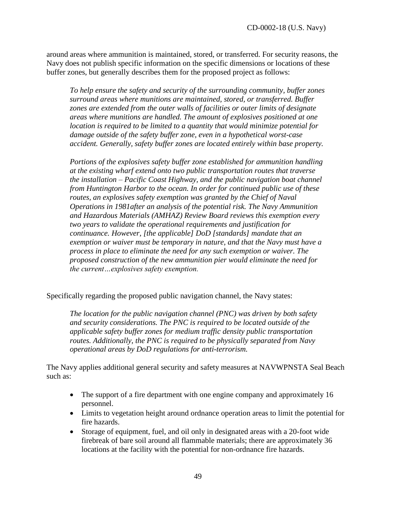around areas where ammunition is maintained, stored, or transferred. For security reasons, the Navy does not publish specific information on the specific dimensions or locations of these buffer zones, but generally describes them for the proposed project as follows:

*To help ensure the safety and security of the surrounding community, buffer zones surround areas where munitions are maintained, stored, or transferred. Buffer zones are extended from the outer walls of facilities or outer limits of designate areas where munitions are handled. The amount of explosives positioned at one location is required to be limited to a quantity that would minimize potential for damage outside of the safety buffer zone, even in a hypothetical worst-case accident. Generally, safety buffer zones are located entirely within base property.* 

*Portions of the explosives safety buffer zone established for ammunition handling at the existing wharf extend onto two public transportation routes that traverse the installation – Pacific Coast Highway, and the public navigation boat channel from Huntington Harbor to the ocean. In order for continued public use of these routes, an explosives safety exemption was granted by the Chief of Naval Operations in 1981after an analysis of the potential risk. The Navy Ammunition and Hazardous Materials (AMHAZ) Review Board reviews this exemption every two years to validate the operational requirements and justification for continuance. However, [the applicable] DoD [standards] mandate that an exemption or waiver must be temporary in nature, and that the Navy must have a process in place to eliminate the need for any such exemption or waiver. The proposed construction of the new ammunition pier would eliminate the need for the current…explosives safety exemption.* 

Specifically regarding the proposed public navigation channel, the Navy states:

*The location for the public navigation channel (PNC) was driven by both safety and security considerations. The PNC is required to be located outside of the applicable safety buffer zones for medium traffic density public transportation routes. Additionally, the PNC is required to be physically separated from Navy operational areas by DoD regulations for anti-terrorism.*

The Navy applies additional general security and safety measures at NAVWPNSTA Seal Beach such as:

- The support of a fire department with one engine company and approximately 16 personnel.
- Limits to vegetation height around ordnance operation areas to limit the potential for fire hazards.
- Storage of equipment, fuel, and oil only in designated areas with a 20-foot wide firebreak of bare soil around all flammable materials; there are approximately 36 locations at the facility with the potential for non-ordnance fire hazards.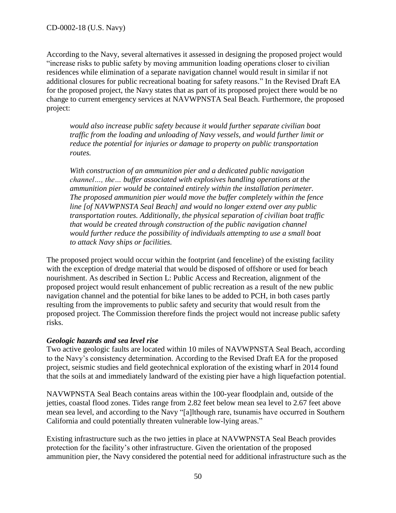According to the Navy, several alternatives it assessed in designing the proposed project would "increase risks to public safety by moving ammunition loading operations closer to civilian residences while elimination of a separate navigation channel would result in similar if not additional closures for public recreational boating for safety reasons." In the Revised Draft EA for the proposed project, the Navy states that as part of its proposed project there would be no change to current emergency services at NAVWPNSTA Seal Beach. Furthermore, the proposed project:

*would also increase public safety because it would further separate civilian boat traffic from the loading and unloading of Navy vessels, and would further limit or reduce the potential for injuries or damage to property on public transportation routes.* 

*With construction of an ammunition pier and a dedicated public navigation channel…, the… buffer associated with explosives handling operations at the ammunition pier would be contained entirely within the installation perimeter. The proposed ammunition pier would move the buffer completely within the fence line [of NAVWPNSTA Seal Beach] and would no longer extend over any public transportation routes. Additionally, the physical separation of civilian boat traffic that would be created through construction of the public navigation channel would further reduce the possibility of individuals attempting to use a small boat to attack Navy ships or facilities.*

The proposed project would occur within the footprint (and fenceline) of the existing facility with the exception of dredge material that would be disposed of offshore or used for beach nourishment. As described in Section L: Public Access and Recreation, alignment of the proposed project would result enhancement of public recreation as a result of the new public navigation channel and the potential for bike lanes to be added to PCH, in both cases partly resulting from the improvements to public safety and security that would result from the proposed project. The Commission therefore finds the project would not increase public safety risks.

# *Geologic hazards and sea level rise*

Two active geologic faults are located within 10 miles of NAVWPNSTA Seal Beach, according to the Navy's consistency determination. According to the Revised Draft EA for the proposed project, seismic studies and field geotechnical exploration of the existing wharf in 2014 found that the soils at and immediately landward of the existing pier have a high liquefaction potential.

NAVWPNSTA Seal Beach contains areas within the 100-year floodplain and, outside of the jetties, coastal flood zones. Tides range from 2.82 feet below mean sea level to 2.67 feet above mean sea level, and according to the Navy "[a]lthough rare, tsunamis have occurred in Southern California and could potentially threaten vulnerable low-lying areas."

Existing infrastructure such as the two jetties in place at NAVWPNSTA Seal Beach provides protection for the facility's other infrastructure. Given the orientation of the proposed ammunition pier, the Navy considered the potential need for additional infrastructure such as the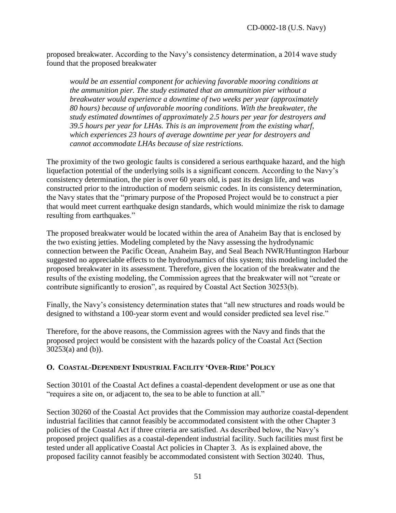proposed breakwater. According to the Navy's consistency determination, a 2014 wave study found that the proposed breakwater

*would be an essential component for achieving favorable mooring conditions at the ammunition pier. The study estimated that an ammunition pier without a breakwater would experience a downtime of two weeks per year (approximately 80 hours) because of unfavorable mooring conditions. With the breakwater, the study estimated downtimes of approximately 2.5 hours per year for destroyers and 39.5 hours per year for LHAs. This is an improvement from the existing wharf, which experiences 23 hours of average downtime per year for destroyers and cannot accommodate LHAs because of size restrictions.*

The proximity of the two geologic faults is considered a serious earthquake hazard, and the high liquefaction potential of the underlying soils is a significant concern. According to the Navy's consistency determination, the pier is over 60 years old, is past its design life, and was constructed prior to the introduction of modern seismic codes. In its consistency determination, the Navy states that the "primary purpose of the Proposed Project would be to construct a pier that would meet current earthquake design standards, which would minimize the risk to damage resulting from earthquakes."

The proposed breakwater would be located within the area of Anaheim Bay that is enclosed by the two existing jetties. Modeling completed by the Navy assessing the hydrodynamic connection between the Pacific Ocean, Anaheim Bay, and Seal Beach NWR/Huntington Harbour suggested no appreciable effects to the hydrodynamics of this system; this modeling included the proposed breakwater in its assessment. Therefore, given the location of the breakwater and the results of the existing modeling, the Commission agrees that the breakwater will not "create or contribute significantly to erosion", as required by Coastal Act Section 30253(b).

Finally, the Navy's consistency determination states that "all new structures and roads would be designed to withstand a 100-year storm event and would consider predicted sea level rise."

Therefore, for the above reasons, the Commission agrees with the Navy and finds that the proposed project would be consistent with the hazards policy of the Coastal Act (Section  $30253(a)$  and (b)).

# <span id="page-50-0"></span>**O. COASTAL-DEPENDENT INDUSTRIAL FACILITY 'OVER-RIDE' POLICY**

Section 30101 of the Coastal Act defines a coastal-dependent development or use as one that "requires a site on, or adjacent to, the sea to be able to function at all."

Section 30260 of the Coastal Act provides that the Commission may authorize coastal-dependent industrial facilities that cannot feasibly be accommodated consistent with the other Chapter 3 policies of the Coastal Act if three criteria are satisfied. As described below, the Navy's proposed project qualifies as a coastal-dependent industrial facility. Such facilities must first be tested under all applicative Coastal Act policies in Chapter 3. As is explained above, the proposed facility cannot feasibly be accommodated consistent with Section 30240. Thus,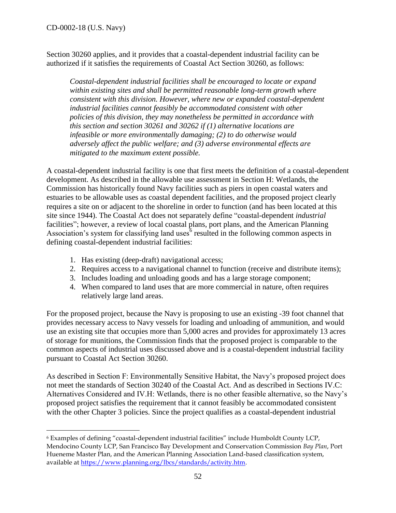$\overline{a}$ 

Section 30260 applies, and it provides that a coastal-dependent industrial facility can be authorized if it satisfies the requirements of Coastal Act Section 30260, as follows:

*Coastal-dependent industrial facilities shall be encouraged to locate or expand within existing sites and shall be permitted reasonable long-term growth where consistent with this division. However, where new or expanded coastal-dependent industrial facilities cannot feasibly be accommodated consistent with other policies of this division, they may nonetheless be permitted in accordance with this section and section 30261 and 30262 if (1) alternative locations are infeasible or more environmentally damaging; (2) to do otherwise would adversely affect the public welfare; and (3) adverse environmental effects are mitigated to the maximum extent possible.* 

A coastal-dependent industrial facility is one that first meets the definition of a coastal-dependent development. As described in the allowable use assessment in Section H: Wetlands, the Commission has historically found Navy facilities such as piers in open coastal waters and estuaries to be allowable uses as coastal dependent facilities, and the proposed project clearly requires a site on or adjacent to the shoreline in order to function (and has been located at this site since 1944). The Coastal Act does not separately define "coastal-dependent *industrial* facilities"; however, a review of local coastal plans, port plans, and the American Planning Association's system for classifying land uses  $6$  resulted in the following common aspects in defining coastal-dependent industrial facilities:

- 1. Has existing (deep-draft) navigational access;
- 2. Requires access to a navigational channel to function (receive and distribute items);
- 3. Includes loading and unloading goods and has a large storage component;
- 4. When compared to land uses that are more commercial in nature, often requires relatively large land areas.

For the proposed project, because the Navy is proposing to use an existing -39 foot channel that provides necessary access to Navy vessels for loading and unloading of ammunition, and would use an existing site that occupies more than 5,000 acres and provides for approximately 13 acres of storage for munitions, the Commission finds that the proposed project is comparable to the common aspects of industrial uses discussed above and is a coastal-dependent industrial facility pursuant to Coastal Act Section 30260.

As described in Section F: Environmentally Sensitive Habitat, the Navy's proposed project does not meet the standards of Section 30240 of the Coastal Act. And as described in Sections IV.C: Alternatives Considered and IV.H: Wetlands, there is no other feasible alternative, so the Navy's proposed project satisfies the requirement that it cannot feasibly be accommodated consistent with the other Chapter 3 policies. Since the project qualifies as a coastal-dependent industrial

<sup>6</sup> Examples of defining "coastal-dependent industrial facilities" include Humboldt County LCP, Mendocino County LCP, San Francisco Bay Development and Conservation Commission *Bay Plan*, Port Hueneme Master Plan, and the American Planning Association Land-based classification system, available at [https://www.planning.org/lbcs/standards/activity.htm.](https://www.planning.org/lbcs/standards/activity.htm)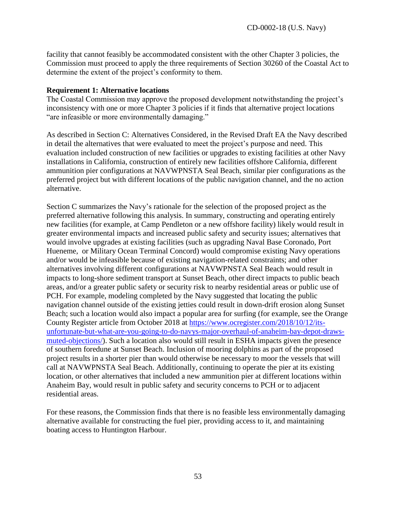facility that cannot feasibly be accommodated consistent with the other Chapter 3 policies, the Commission must proceed to apply the three requirements of Section 30260 of the Coastal Act to determine the extent of the project's conformity to them.

#### **Requirement 1: Alternative locations**

The Coastal Commission may approve the proposed development notwithstanding the project's inconsistency with one or more Chapter 3 policies if it finds that alternative project locations "are infeasible or more environmentally damaging."

As described in Section C: Alternatives Considered, in the Revised Draft EA the Navy described in detail the alternatives that were evaluated to meet the project's purpose and need. This evaluation included construction of new facilities or upgrades to existing facilities at other Navy installations in California, construction of entirely new facilities offshore California, different ammunition pier configurations at NAVWPNSTA Seal Beach, similar pier configurations as the preferred project but with different locations of the public navigation channel, and the no action alternative.

Section C summarizes the Navy's rationale for the selection of the proposed project as the preferred alternative following this analysis. In summary, constructing and operating entirely new facilities (for example, at Camp Pendleton or a new offshore facility) likely would result in greater environmental impacts and increased public safety and security issues; alternatives that would involve upgrades at existing facilities (such as upgrading Naval Base Coronado, Port Hueneme, or Military Ocean Terminal Concord) would compromise existing Navy operations and/or would be infeasible because of existing navigation-related constraints; and other alternatives involving different configurations at NAVWPNSTA Seal Beach would result in impacts to long-shore sediment transport at Sunset Beach, other direct impacts to public beach areas, and/or a greater public safety or security risk to nearby residential areas or public use of PCH. For example, modeling completed by the Navy suggested that locating the public navigation channel outside of the existing jetties could result in down-drift erosion along Sunset Beach; such a location would also impact a popular area for surfing (for example, see the Orange County Register article from October 2018 at [https://www.ocregister.com/2018/10/12/its](https://www.ocregister.com/2018/10/12/its-unfortunate-but-what-are-you-going-to-do-navys-major-overhaul-of-anaheim-bay-depot-draws-muted-objections/)[unfortunate-but-what-are-you-going-to-do-navys-major-overhaul-of-anaheim-bay-depot-draws](https://www.ocregister.com/2018/10/12/its-unfortunate-but-what-are-you-going-to-do-navys-major-overhaul-of-anaheim-bay-depot-draws-muted-objections/)[muted-objections/\)](https://www.ocregister.com/2018/10/12/its-unfortunate-but-what-are-you-going-to-do-navys-major-overhaul-of-anaheim-bay-depot-draws-muted-objections/). Such a location also would still result in ESHA impacts given the presence of southern foredune at Sunset Beach. Inclusion of mooring dolphins as part of the proposed project results in a shorter pier than would otherwise be necessary to moor the vessels that will call at NAVWPNSTA Seal Beach. Additionally, continuing to operate the pier at its existing location, or other alternatives that included a new ammunition pier at different locations within Anaheim Bay, would result in public safety and security concerns to PCH or to adjacent residential areas.

For these reasons, the Commission finds that there is no feasible less environmentally damaging alternative available for constructing the fuel pier, providing access to it, and maintaining boating access to Huntington Harbour.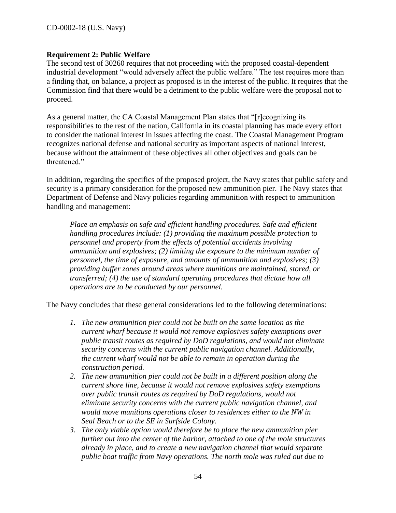#### **Requirement 2: Public Welfare**

The second test of 30260 requires that not proceeding with the proposed coastal-dependent industrial development "would adversely affect the public welfare." The test requires more than a finding that, on balance, a project as proposed is in the interest of the public. It requires that the Commission find that there would be a detriment to the public welfare were the proposal not to proceed.

As a general matter, the CA Coastal Management Plan states that "[r]ecognizing its responsibilities to the rest of the nation, California in its coastal planning has made every effort to consider the national interest in issues affecting the coast. The Coastal Management Program recognizes national defense and national security as important aspects of national interest, because without the attainment of these objectives all other objectives and goals can be threatened."

In addition, regarding the specifics of the proposed project, the Navy states that public safety and security is a primary consideration for the proposed new ammunition pier. The Navy states that Department of Defense and Navy policies regarding ammunition with respect to ammunition handling and management:

*Place an emphasis on safe and efficient handling procedures. Safe and efficient handling procedures include: (1) providing the maximum possible protection to personnel and property from the effects of potential accidents involving ammunition and explosives; (2) limiting the exposure to the minimum number of personnel, the time of exposure, and amounts of ammunition and explosives; (3) providing buffer zones around areas where munitions are maintained, stored, or transferred; (4) the use of standard operating procedures that dictate how all operations are to be conducted by our personnel.*

The Navy concludes that these general considerations led to the following determinations:

- *1. The new ammunition pier could not be built on the same location as the current wharf because it would not remove explosives safety exemptions over public transit routes as required by DoD regulations, and would not eliminate security concerns with the current public navigation channel. Additionally, the current wharf would not be able to remain in operation during the construction period.*
- *2. The new ammunition pier could not be built in a different position along the current shore line, because it would not remove explosives safety exemptions over public transit routes as required by DoD regulations, would not eliminate security concerns with the current public navigation channel, and would move munitions operations closer to residences either to the NW in Seal Beach or to the SE in Surfside Colony.*
- *3. The only viable option would therefore be to place the new ammunition pier further out into the center of the harbor, attached to one of the mole structures already in place, and to create a new navigation channel that would separate public boat traffic from Navy operations. The north mole was ruled out due to*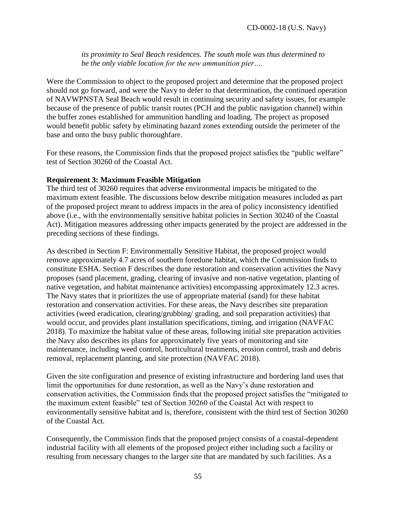*its proximity to Seal Beach residences. The south mole was thus determined to be the only viable location for the new ammunition pier….*

Were the Commission to object to the proposed project and determine that the proposed project should not go forward, and were the Navy to defer to that determination, the continued operation of NAVWPNSTA Seal Beach would result in continuing security and safety issues, for example because of the presence of public transit routes (PCH and the public navigation channel) within the buffer zones established for ammunition handling and loading. The project as proposed would benefit public safety by eliminating hazard zones extending outside the perimeter of the base and onto the busy public thoroughfare.

For these reasons, the Commission finds that the proposed project satisfies the "public welfare" test of Section 30260 of the Coastal Act.

#### **Requirement 3: Maximum Feasible Mitigation**

The third test of 30260 requires that adverse environmental impacts be mitigated to the maximum extent feasible. The discussions below describe mitigation measures included as part of the proposed project meant to address impacts in the area of policy inconsistency identified above (i.e., with the environmentally sensitive habitat policies in Section 30240 of the Coastal Act). Mitigation measures addressing other impacts generated by the project are addressed in the preceding sections of these findings.

As described in Section F: Environmentally Sensitive Habitat, the proposed project would remove approximately 4.7 acres of southern foredune habitat, which the Commission finds to constitute ESHA. Section F describes the dune restoration and conservation activities the Navy proposes (sand placement, grading, clearing of invasive and non-native vegetation, planting of native vegetation, and habitat maintenance activities) encompassing approximately 12.3 acres. The Navy states that it prioritizes the use of appropriate material (sand) for these habitat restoration and conservation activities. For these areas, the Navy describes site preparation activities (weed eradication, clearing/grubbing/ grading, and soil preparation activities) that would occur, and provides plant installation specifications, timing, and irrigation (NAVFAC 2018). To maximize the habitat value of these areas, following initial site preparation activities the Navy also describes its plans for approximately five years of monitoring and site maintenance, including weed control, horticultural treatments, erosion control, trash and debris removal, replacement planting, and site protection (NAVFAC 2018).

Given the site configuration and presence of existing infrastructure and bordering land uses that limit the opportunities for dune restoration, as well as the Navy's dune restoration and conservation activities, the Commission finds that the proposed project satisfies the "mitigated to the maximum extent feasible" test of Section 30260 of the Coastal Act with respect to environmentally sensitive habitat and is, therefore, consistent with the third test of Section 30260 of the Coastal Act.

Consequently, the Commission finds that the proposed project consists of a coastal-dependent industrial facility with all elements of the proposed project either including such a facility or resulting from necessary changes to the larger site that are mandated by such facilities. As a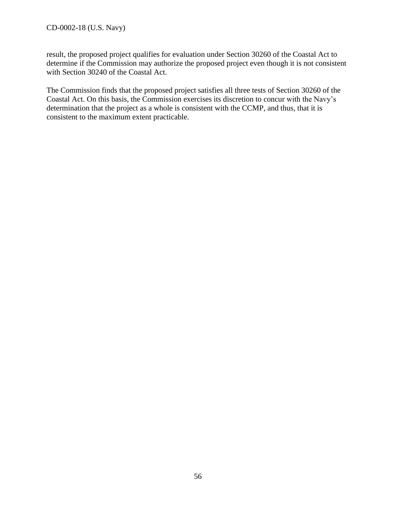result, the proposed project qualifies for evaluation under Section 30260 of the Coastal Act to determine if the Commission may authorize the proposed project even though it is not consistent with Section 30240 of the Coastal Act.

The Commission finds that the proposed project satisfies all three tests of Section 30260 of the Coastal Act. On this basis, the Commission exercises its discretion to concur with the Navy's determination that the project as a whole is consistent with the CCMP, and thus, that it is consistent to the maximum extent practicable.